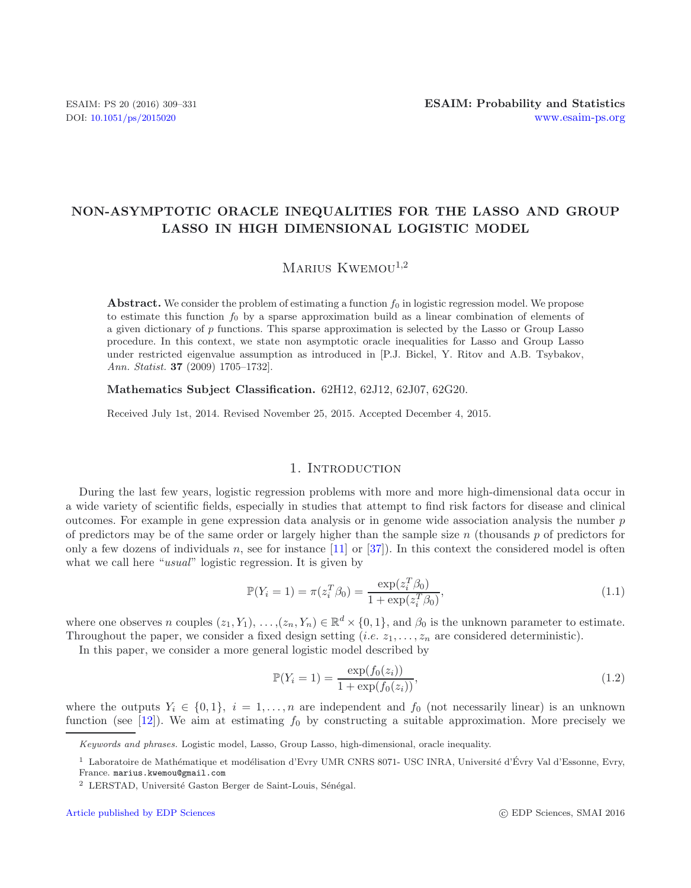# **NON-ASYMPTOTIC ORACLE INEQUALITIES FOR THE LASSO AND GROUP LASSO IN HIGH DIMENSIONAL LOGISTIC MODEL**

# $M$ ARIUS  $K$ WEMOU<sup>1,2</sup>

**Abstract.** We consider the problem of estimating a function  $f_0$  in logistic regression model. We propose to estimate this function  $f_0$  by a sparse approximation build as a linear combination of elements of a given dictionary of *p* functions. This sparse approximation is selected by the Lasso or Group Lasso procedure. In this context, we state non asymptotic oracle inequalities for Lasso and Group Lasso under restricted eigenvalue assumption as introduced in [P.J. Bickel, Y. Ritov and A.B. Tsybakov, *Ann. Statist.* **37** (2009) 1705–1732].

**Mathematics Subject Classification.** 62H12, 62J12, 62J07, 62G20.

Received July 1st, 2014. Revised November 25, 2015. Accepted December 4, 2015.

### <span id="page-0-1"></span><span id="page-0-0"></span>1. INTRODUCTION

During the last few years, logistic regression problems with more and more high-dimensional data occur in a wide variety of scientific fields, especially in studies that attempt to find risk factors for disease and clinical outcomes. For example in gene expression data analysis or in genome wide association analysis the number p of predictors may be of the same order or largely higher than the sample size  $n$  (thousands  $p$  of predictors for only a few dozens of individuals n, see for instance  $[11]$  $[11]$  or  $[37]$ ). In this context the considered model is often what we call here "*usual*" logistic regression. It is given by

$$
\mathbb{P}(Y_i = 1) = \pi(z_i^T \beta_0) = \frac{\exp(z_i^T \beta_0)}{1 + \exp(z_i^T \beta_0)},
$$
\n(1.1)

where one observes n couples  $(z_1, Y_1), \ldots, (z_n, Y_n) \in \mathbb{R}^d \times \{0, 1\}$ , and  $\beta_0$  is the unknown parameter to estimate. Throughout the paper, we consider a fixed design setting  $(i.e. z_1, \ldots, z_n$  are considered deterministic).

In this paper, we consider a more general logistic model described by

$$
\mathbb{P}(Y_i = 1) = \frac{\exp(f_0(z_i))}{1 + \exp(f_0(z_i))},\tag{1.2}
$$

where the outputs  $Y_i \in \{0,1\}, i = 1,\ldots,n$  are independent and  $f_0$  (not necessarily linear) is an unknown function (see [\[12\]](#page-22-2)). We aim at estimating  $f_0$  by constructing a suitable approximation. More precisely we

*Keywords and phrases.* Logistic model, Lasso, Group Lasso, high-dimensional, oracle inequality.

[Article published by EDP Sciences](http://www.edpsciences.org)

 $1$  Laboratoire de Mathématique et modélisation d'Evry UMR CNRS 8071- USC INRA, Université d'Évry Val d'Essonne, Evry, France. marius.kwemou@gmail.com

 $^2$  LERSTAD, Université Gaston Berger de Saint-Louis, Sénégal.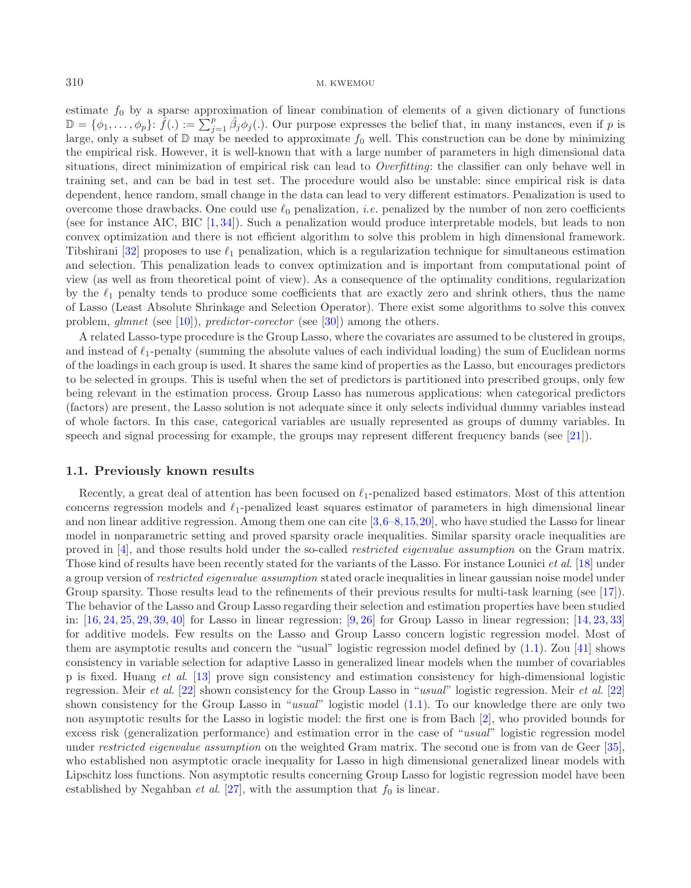estimate  $f_0$  by a sparse approximation of linear combination of elements of a given dictionary of functions  $\mathbb{D} = {\phi_1, \ldots, \phi_p}$ :  $\hat{f}(\cdot) := \sum_{j=1}^p \hat{\beta}_j \phi_j(\cdot)$ . Our purpose expresses the belief that, in many instances, even if p is large, only a subset of  $\mathbb D$  may be needed to approximate  $f_0$  well. This construction can be done by minimizing the empirical risk. However, it is well-known that with a large number of parameters in high dimensional data situations, direct minimization of empirical risk can lead to *Overfitting*: the classifier can only behave well in training set, and can be bad in test set. The procedure would also be unstable: since empirical risk is data dependent, hence random, small change in the data can lead to very different estimators. Penalization is used to overcome those drawbacks. One could use  $\ell_0$  penalization, *i.e.* penalized by the number of non zero coefficients (see for instance AIC, BIC [\[1,](#page-21-0) [34\]](#page-22-3)). Such a penalization would produce interpretable models, but leads to non convex optimization and there is not efficient algorithm to solve this problem in high dimensional framework. Tibshirani [\[32\]](#page-22-4) proposes to use  $\ell_1$  penalization, which is a regularization technique for simultaneous estimation and selection. This penalization leads to convex optimization and is important from computational point of view (as well as from theoretical point of view). As a consequence of the optimality conditions, regularization by the  $\ell_1$  penalty tends to produce some coefficients that are exactly zero and shrink others, thus the name of Lasso (Least Absolute Shrinkage and Selection Operator). There exist some algorithms to solve this convex problem, *glmnet* (see [\[10\]](#page-22-5)), *predictor-corector* (see [\[30\]](#page-22-6)) among the others.

A related Lasso-type procedure is the Group Lasso, where the covariates are assumed to be clustered in groups, and instead of  $\ell_1$ -penalty (summing the absolute values of each individual loading) the sum of Euclidean norms of the loadings in each group is used. It shares the same kind of properties as the Lasso, but encourages predictors to be selected in groups. This is useful when the set of predictors is partitioned into prescribed groups, only few being relevant in the estimation process. Group Lasso has numerous applications: when categorical predictors (factors) are present, the Lasso solution is not adequate since it only selects individual dummy variables instead of whole factors. In this case, categorical variables are usually represented as groups of dummy variables. In speech and signal processing for example, the groups may represent different frequency bands (see [\[21](#page-22-7)]).

### **1.1. Previously known results**

Recently, a great deal of attention has been focused on  $\ell_1$ -penalized based estimators. Most of this attention concerns regression models and  $\ell_1$ -penalized least squares estimator of parameters in high dimensional linear and non linear additive regression. Among them one can cite [\[3](#page-21-1)[,6](#page-21-2)[–8](#page-22-8)[,15](#page-22-9),[20\]](#page-22-10), who have studied the Lasso for linear model in nonparametric setting and proved sparsity oracle inequalities. Similar sparsity oracle inequalities are proved in [\[4\]](#page-21-3), and those results hold under the so-called *restricted eigenvalue assumption* on the Gram matrix. Those kind of results have been recently stated for the variants of the Lasso. For instance Lounici *et al*. [\[18\]](#page-22-11) under a group version of *restricted eigenvalue assumption* stated oracle inequalities in linear gaussian noise model under Group sparsity. Those results lead to the refinements of their previous results for multi-task learning (see [\[17](#page-22-12)]). The behavior of the Lasso and Group Lasso regarding their selection and estimation properties have been studied in: [\[16,](#page-22-13) [24](#page-22-14), [25,](#page-22-15) [29](#page-22-16), [39,](#page-22-17) [40](#page-22-18)] for Lasso in linear regression; [\[9](#page-22-19), [26\]](#page-22-20) for Group Lasso in linear regression; [\[14,](#page-22-21) [23](#page-22-22), [33\]](#page-22-23) for additive models. Few results on the Lasso and Group Lasso concern logistic regression model. Most of them are asymptotic results and concern the "usual" logistic regression model defined by [\(1.1\)](#page-0-0). Zou [\[41](#page-22-24)] shows consistency in variable selection for adaptive Lasso in generalized linear models when the number of covariables p is fixed. Huang *et al*. [\[13](#page-22-25)] prove sign consistency and estimation consistency for high-dimensional logistic regression. Meir *et al*. [\[22](#page-22-26)] shown consistency for the Group Lasso in "*usual*" logistic regression. Meir *et al*. [\[22\]](#page-22-26) shown consistency for the Group Lasso in "*usual*" logistic model [\(1.1\)](#page-0-0). To our knowledge there are only two non asymptotic results for the Lasso in logistic model: the first one is from Bach [\[2\]](#page-21-4), who provided bounds for excess risk (generalization performance) and estimation error in the case of "*usual*" logistic regression model under *restricted eigenvalue assumption* on the weighted Gram matrix. The second one is from van de Geer [\[35](#page-22-27)], who established non asymptotic oracle inequality for Lasso in high dimensional generalized linear models with Lipschitz loss functions. Non asymptotic results concerning Group Lasso for logistic regression model have been established by Negahban *et al.* [\[27\]](#page-22-28), with the assumption that  $f_0$  is linear.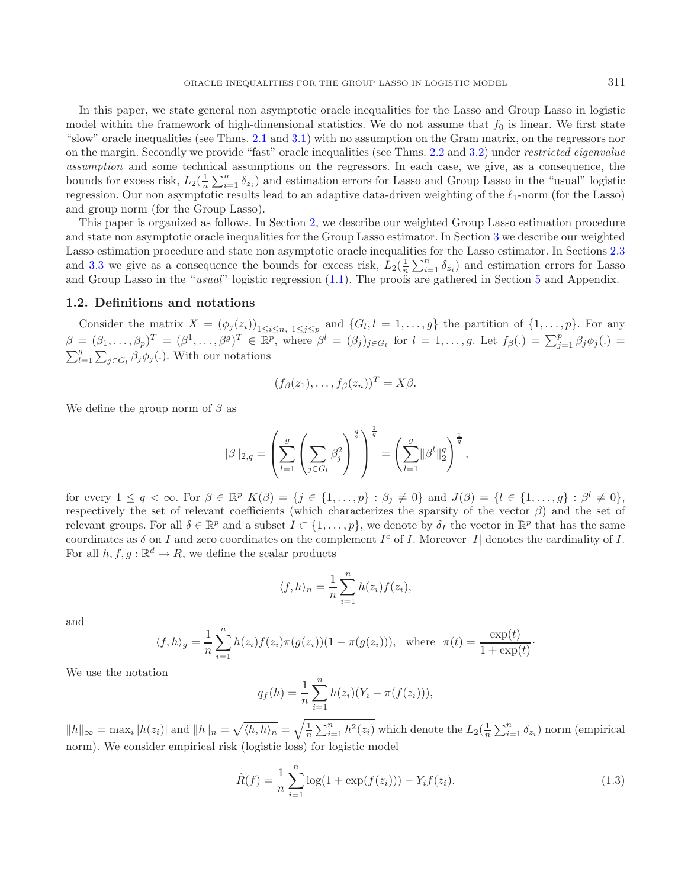In this paper, we state general non asymptotic oracle inequalities for the Lasso and Group Lasso in logistic model within the framework of high-dimensional statistics. We do not assume that  $f_0$  is linear. We first state "slow" oracle inequalities (see Thms. [2.1](#page-4-0) and [3.1\)](#page-8-0) with no assumption on the Gram matrix, on the regressors nor on the margin. Secondly we provide "fast" oracle inequalities (see Thms. [2.2](#page-4-1) and [3.2\)](#page-9-0) under *restricted eigenvalue assumption* and some technical assumptions on the regressors. In each case, we give, as a consequence, the bounds for excess risk,  $L_2(\frac{1}{n}\sum_{i=1}^n \delta_{z_i})$  and estimation errors for Lasso and Group Lasso in the "usual" logistic<br>regression. Our non asymptotic results lead to an adaptive data-driven weighting of the  $\ell_1$ -nor regression. Our non asymptotic results lead to an adaptive data-driven weighting of the  $\ell_1$ -norm (for the Lasso) and group norm (for the Group Lasso).

This paper is organized as follows. In Section [2,](#page-3-0) we describe our weighted Group Lasso estimation procedure and state non asymptotic oracle inequalities for the Group Lasso estimator. In Section [3](#page-8-1) we describe our weighted Lasso estimation procedure and state non asymptotic oracle inequalities for the Lasso estimator. In Sections [2.3](#page-5-0) and [3.3](#page-10-0) we give as a consequence the bounds for excess risk,  $L_2(\frac{1}{n}\sum_{i=1}^n \delta_{z_i})$  and estimation errors for Lasso and Group Lasso in the "*usual*" logistic regression [\(1.1\)](#page-0-0). The proofs are gathered in Section [5](#page-11-0) and Appendix.

#### **1.2. Definitions and notations**

Consider the matrix  $X = (\phi_j(z_i))_{1 \leq i \leq n, 1 \leq j \leq p}$  and  $\{G_l, l = 1, \ldots, g\}$  the partition of  $\{1, \ldots, p\}$ . For any  $\beta = (\beta_1, \ldots, \beta_p)^T = (\beta^1, \ldots, \beta^g)^T \in \mathbb{R}^p$ , where  $\beta^l = (\beta_j)_{j \in G_l}$  for  $l = 1, \ldots, g$ . Let  $f_\beta(.) = \sum_{j=1}^p \beta_j \phi_j(.) = \sum_{j=1}^p \beta_j \phi_j(.)$  $\sum_{l=1}^{g} \sum_{j \in G_l} \beta_j \phi_j(.)$ . With our notations

$$
(f_{\beta}(z_1),\ldots,f_{\beta}(z_n))^T=X\beta.
$$

We define the group norm of  $\beta$  as

$$
\|\beta\|_{2,q} = \left(\sum_{l=1}^{g} \left(\sum_{j \in G_l} \beta_j^2\right)^{\frac{q}{2}}\right)^{\frac{1}{q}} = \left(\sum_{l=1}^{g} \|\beta^l\|_2^q\right)^{\frac{1}{q}},
$$

for every  $1 \leq q < \infty$ . For  $\beta \in \mathbb{R}^p$   $K(\beta) = \{j \in \{1,\ldots,p\} : \beta_j \neq 0\}$  and  $J(\beta) = \{l \in \{1,\ldots,g\} : \beta^l \neq 0\}$ , respectively the set of relevant coefficients (which characterizes the sparsity of the vector  $\beta$ ) and the set of relevant groups. For all  $\delta \in \mathbb{R}^p$  and a subset  $I \subset \{1,\ldots,p\}$ , we denote by  $\delta_I$  the vector in  $\mathbb{R}^p$  that has the same coordinates as  $\delta$  on I and zero coordinates on the complement I<sup>c</sup> of I. Moreover |I| denotes the cardinality of I. For all  $h, f, g : \mathbb{R}^d \to R$ , we define the scalar products

$$
\langle f, h \rangle_n = \frac{1}{n} \sum_{i=1}^n h(z_i) f(z_i),
$$

and

$$
\langle f, h \rangle_g = \frac{1}{n} \sum_{i=1}^n h(z_i) f(z_i) \pi(g(z_i)) (1 - \pi(g(z_i))), \text{ where } \pi(t) = \frac{\exp(t)}{1 + \exp(t)}
$$

We use the notation

$$
q_f(h) = \frac{1}{n} \sum_{i=1}^{n} h(z_i) (Y_i - \pi(f(z_i))),
$$

 $||h||_{\infty} = \max_i |h(z_i)|$  and  $||h||_n = \sqrt{\langle h, h \rangle_n} = \sqrt{\frac{1}{n} \sum_{i=1}^n h^2(z_i)}$  which denote the  $L_2(\frac{1}{n} \sum_{i=1}^n \delta_{z_i})$  norm (empirical norm). We consider empirical risk (logistic loss) for logistic model

$$
\hat{R}(f) = \frac{1}{n} \sum_{i=1}^{n} \log(1 + \exp(f(z_i))) - Y_i f(z_i). \tag{1.3}
$$

·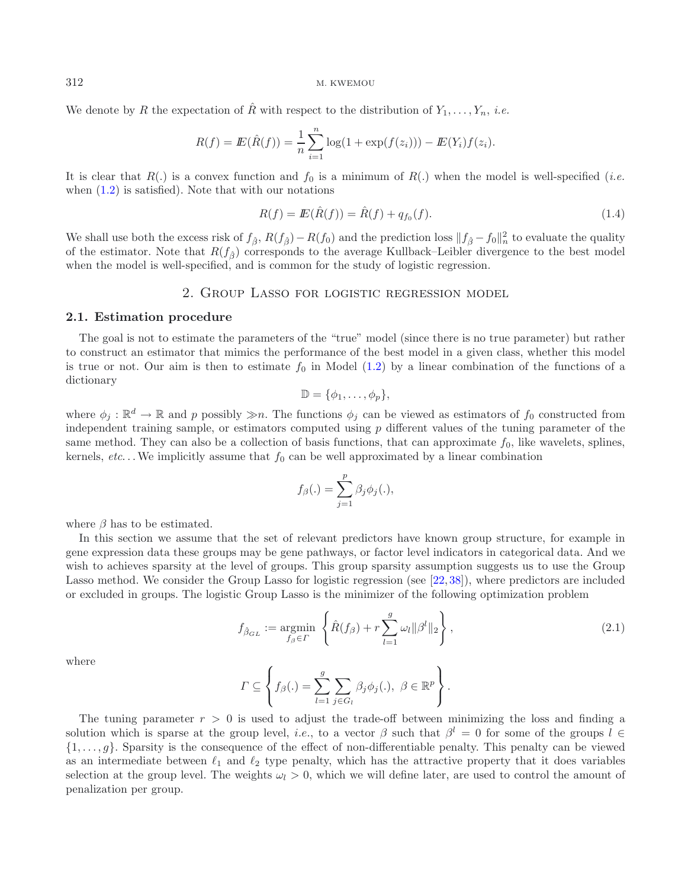We denote by R the expectation of  $\hat{R}$  with respect to the distribution of  $Y_1, \ldots, Y_n$ , *i.e.* 

<span id="page-3-2"></span>
$$
R(f) = \mathbb{E}(\hat{R}(f)) = \frac{1}{n} \sum_{i=1}^{n} \log(1 + \exp(f(z_i))) - \mathbb{E}(Y_i)f(z_i).
$$

It is clear that  $R(.)$  is a convex function and  $f_0$  is a minimum of  $R(.)$  when the model is well-specified (*i.e.* when  $(1.2)$  is satisfied). Note that with our notations

$$
R(f) = I\!\!E(\hat{R}(f)) = \hat{R}(f) + q_{f_0}(f). \tag{1.4}
$$

We shall use both the excess risk of  $f_{\hat{\beta}}, R(f_{\hat{\beta}}) - R(f_0)$  and the prediction loss  $||f_{\hat{\beta}} - f_0||_n^2$  to evaluate the quality<br>of the estimator. Note that  $R(f_{\hat{\beta}})$  corresponds to the average Kullback–Leibler diverge of the estimator. Note that  $R(f_{\hat{\beta}})$  corresponds to the average Kullback–Leibler divergence to the best model when the model is well-specified, and is common for the study of logistic regression.

### 2. Group Lasso for logistic regression model

#### <span id="page-3-0"></span>**2.1. Estimation procedure**

The goal is not to estimate the parameters of the "true" model (since there is no true parameter) but rather to construct an estimator that mimics the performance of the best model in a given class, whether this model is true or not. Our aim is then to estimate  $f_0$  in Model [\(1.2\)](#page-0-1) by a linear combination of the functions of a dictionary

<span id="page-3-1"></span>
$$
\mathbb{D} = \{\phi_1, \ldots, \phi_p\},\
$$

where  $\phi_j : \mathbb{R}^d \to \mathbb{R}$  and p possibly  $\gg n$ . The functions  $\phi_j$  can be viewed as estimators of  $f_0$  constructed from independent training sample or estimators computed using p different values of the tuning parame independent training sample, or estimators computed using  $p$  different values of the tuning parameter of the same method. They can also be a collection of basis functions, that can approximate  $f_0$ , like wavelets, splines, kernels,  $etc.$ . We implicitly assume that  $f_0$  can be well approximated by a linear combination

$$
f_{\beta}(.)=\sum_{j=1}^p \beta_j \phi_j(.),
$$

where  $\beta$  has to be estimated.

In this section we assume that the set of relevant predictors have known group structure, for example in gene expression data these groups may be gene pathways, or factor level indicators in categorical data. And we wish to achieves sparsity at the level of groups. This group sparsity assumption suggests us to use the Group Lasso method. We consider the Group Lasso for logistic regression (see [\[22](#page-22-26), [38](#page-22-29)]), where predictors are included or excluded in groups. The logistic Group Lasso is the minimizer of the following optimization problem

$$
f_{\hat{\beta}_{GL}} := \underset{f_{\beta} \in \Gamma}{\text{argmin}} \left\{ \hat{R}(f_{\beta}) + r \sum_{l=1}^{g} \omega_l ||\beta^l||_2 \right\},\tag{2.1}
$$

where

$$
\Gamma \subseteq \left\{ f_{\beta}(.)=\sum_{l=1}^{g} \sum_{j \in G_l} \beta_j \phi_j(.), \ \beta \in \mathbb{R}^p \right\}.
$$

The tuning parameter  $r > 0$  is used to adjust the trade-off between minimizing the loss and finding a solution which is sparse at the group level, *i.e.*, to a vector  $\beta$  such that  $\beta^l = 0$  for some of the groups  $l \in$  $\{1,\ldots,g\}$ . Sparsity is the consequence of the effect of non-differentiable penalty. This penalty can be viewed as an intermediate between  $\ell_1$  and  $\ell_2$  type penalty, which has the attractive property that it does variables selection at the group level. The weights  $\omega_l > 0$ , which we will define later, are used to control the amount of penalization per group.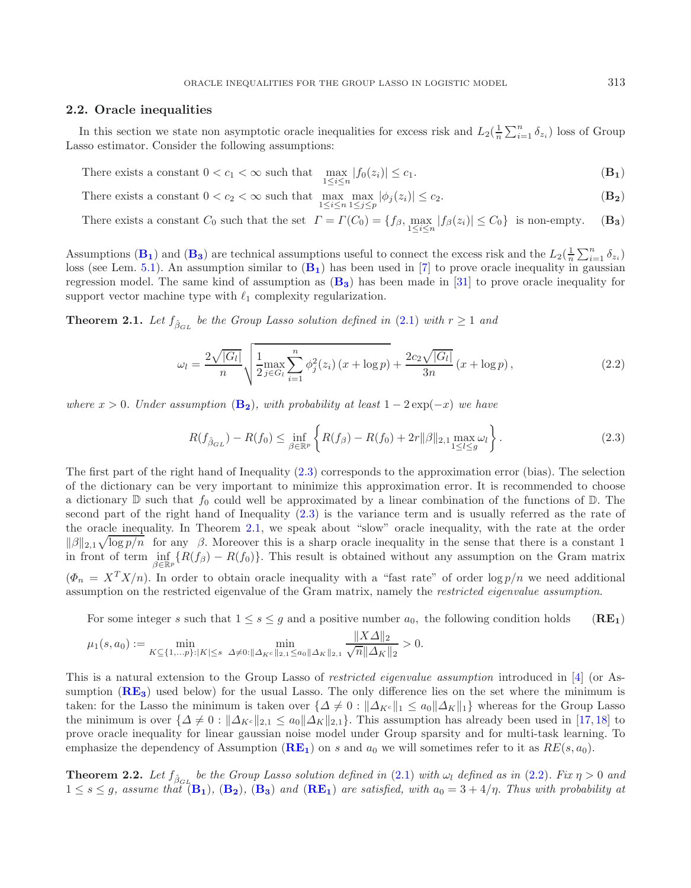### <span id="page-4-2"></span>**2.2. Oracle inequalities**

In this section we state non asymptotic oracle inequalities for excess risk and  $L_2(\frac{1}{n}\sum_{i=1}^n \delta_{z_i})$  loss of Group Lasso estimator. Consider the following assumptions:

<span id="page-4-0"></span>There exists a constant 
$$
0 < c_1 < \infty
$$
 such that  $\max_{1 \le i \le n} |f_0(z_i)| \le c_1$ . (B<sub>1</sub>)

There exists a constant 
$$
0 < c_2 < \infty
$$
 such that  $\max_{1 \le i \le n} \max_{1 \le j \le p} |\phi_j(z_i)| \le c_2$ . (B<sub>2</sub>)

There exists a constant 
$$
C_0
$$
 such that the set  $\Gamma = \Gamma(C_0) = \{f_\beta, \max_{1 \le i \le n} |f_\beta(z_i)| \le C_0\}$  is non-empty. (B<sub>3</sub>)

Assumptions  $(\mathbf{B}_1)$  $(\mathbf{B}_1)$  $(\mathbf{B}_1)$  and  $(\mathbf{B}_3)$  are technical assumptions useful to connect the excess risk and the  $L_2(\frac{1}{n}\sum_{i=1}^n \delta_{z_i})$ <br>loss (see Lem. 5.1). An assumption similar to  $(\mathbf{B}_r)$  has been used in [7] to prove o loss (see Lem. [5.1\)](#page-14-0). An assumption similar to  $(\mathbf{B}_1)$  $(\mathbf{B}_1)$  $(\mathbf{B}_1)$  has been used in [\[7\]](#page-22-30) to prove oracle inequality in gaussian regression model. The same kind of assumption as (**[B](#page-4-2)3**) has been made in [\[31\]](#page-22-31) to prove oracle inequality for support vector machine type with  $\ell_1$  complexity regularization.

**Theorem 2.1.** *Let*  $f_{\hat{\beta}_{GL}}$  *be the Group Lasso solution defined in* [\(2.1\)](#page-3-1) *with*  $r \geq 1$  *and* 

<span id="page-4-4"></span><span id="page-4-3"></span>
$$
\omega_l = \frac{2\sqrt{|G_l|}}{n} \sqrt{\frac{1}{2\pi \epsilon_{li}} \sum_{i=1}^n \phi_j^2(z_i) \left(x + \log p\right) + \frac{2c_2\sqrt{|G_l|}}{3n} \left(x + \log p\right)},\tag{2.2}
$$

*where*  $x > 0$ *. Under assumption*  $(\mathbf{B}_2)$  $(\mathbf{B}_2)$  $(\mathbf{B}_2)$ *, with probability at least*  $1 - 2 \exp(-x)$  *we have* 

$$
R(f_{\hat{\beta}_{GL}}) - R(f_0) \le \inf_{\beta \in \mathbb{R}^p} \left\{ R(f_{\beta}) - R(f_0) + 2r \|\beta\|_{2,1} \max_{1 \le l \le g} \omega_l \right\}.
$$
 (2.3)

The first part of the right hand of Inequality [\(2.3\)](#page-4-3) corresponds to the approximation error (bias). The selection of the dictionary can be very important to minimize this approximation error. It is recommended to choose a dictionary  $\mathbb D$  such that  $f_0$  could well be approximated by a linear combination of the functions of  $\mathbb D$ . The second part of the right hand of Inequality [\(2.3\)](#page-4-3) is the variance term and is usually referred as the rate of the oracle inequality. In Theorem [2.1,](#page-4-0) we speak about "slow" oracle inequality, with the rate at the order  $\|\beta\|_{2,1}\sqrt{\log p/n}$  for any  $\beta$ . Moreover this is a sharp oracle inequality in the sense that there is a constant 1 in front of term inf  $\{B(f_0) = B(f_0)\}$ . This result is obtained without any assumption on the Gram matrix in front of term  $\inf_{\beta \in \mathbb{R}^p} \{R(f_\beta) - R(f_0)\}$ . This result is obtained without any assumption on the Gram matrix  $(\Phi_n = X^T X/n)$ . In order to obtain oracle inequality with a "fast rate" of order  $\log p/n$  we need additional assumption on the restricted eigenvalue of the Gram matrix, namely the *restricted eigenvalue assumption*.

For some integer s such that  $1 \leq s \leq g$  and a positive number  $a_0$ , the following condition holds  $(RE_1)$ 

$$
\mu_1(s, a_0) := \min_{K \subseteq \{1, \dots p\} : |K| \le s} \ \min_{\Delta_K c \, \|a_K c\|_{2,1} \le a_0 \|\Delta_K\|_{2,1}} \frac{\|X\Delta\|_2}{\sqrt{n}\|\Delta_K\|_2} > 0.
$$

This is a natural extension to the Group Lasso of *restricted eigenvalue assumption* introduced in [\[4](#page-21-3)] (or Assumption  $(RE_3)$  $(RE_3)$  $(RE_3)$  used below) for the usual Lasso. The only difference lies on the set where the minimum is taken: for the Lasso the minimum is taken over  $\{\Delta \neq 0: ||\Delta_{K^c}||_1 \leq a_0 ||\Delta_K||_1\}$  whereas for the Group Lasso the minimum is over  $\{\Delta \neq 0: ||\Delta_{K^c}||_{2,1} \leq a_0 ||\Delta_K||_{2,1}\}.$  This assumption has already been used in [\[17,](#page-22-12)[18](#page-22-11)] to prove oracle inequality for linear gaussian noise model under Group sparsity and for multi-task learning. To emphasize the dependency of Assumption  $(RE<sub>1</sub>)$  $(RE<sub>1</sub>)$  $(RE<sub>1</sub>)$  on s and  $a<sub>0</sub>$  we will sometimes refer to it as  $RE(s, a<sub>0</sub>)$ .

<span id="page-4-1"></span>**Theorem 2.2.** Let  $f_{\hat{\beta}_{GL}}$  be the Group Lasso solution defined in [\(2.1\)](#page-3-1) with  $\omega_l$  defined as in [\(2.2\)](#page-4-4). Fix  $\eta > 0$  and  $1 \leq s \leq g$ , assume that  $(\mathbf{B}_1)$  $(\mathbf{B}_1)$  $(\mathbf{B}_1)$ ,  $(\mathbf{B}_2)$ ,  $(\mathbf{B}_3)$  and  $(\mathbf{RE}_1)$  $(\mathbf{RE}_1)$  $(\mathbf{RE}_1)$  are satisfied, with  $a_0 = 3 + 4/\eta$ . Thus with probability at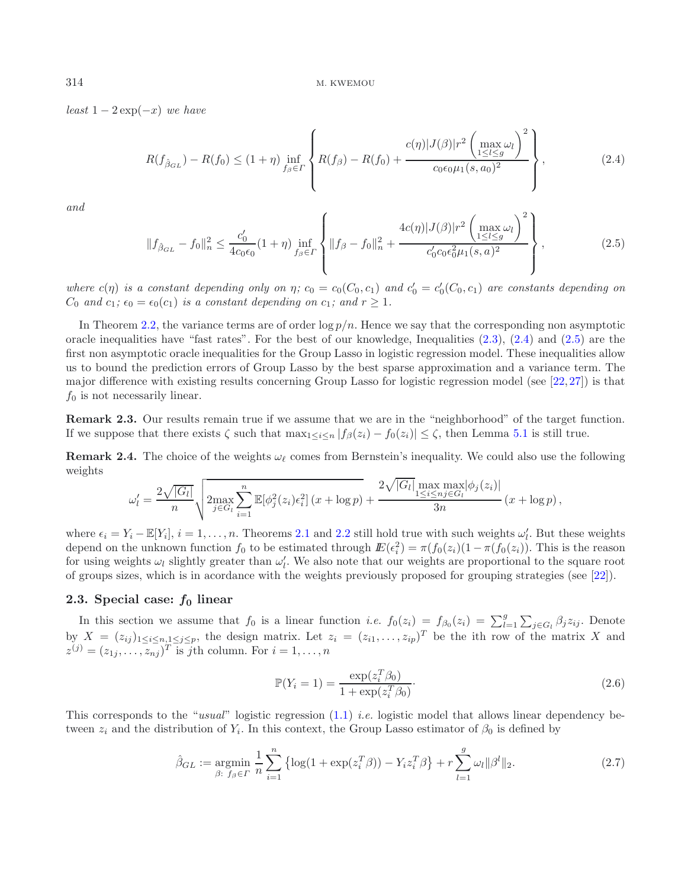$least 1-2 \exp(-x)$  *we have* 

$$
R(f_{\hat{\beta}_{GL}}) - R(f_0) \le (1+\eta) \inf_{f_{\beta} \in \Gamma} \left\{ R(f_{\beta}) - R(f_0) + \frac{c(\eta)|J(\beta)|r^2 \left(\max_{1 \le l \le g} \omega_l\right)^2}{c_0 \epsilon_0 \mu_1(s, a_0)^2} \right\},
$$
\n(2.4)

*and*

$$
||f_{\hat{\beta}_{GL}} - f_0||_n^2 \le \frac{c'_0}{4c_0\epsilon_0} (1+\eta) \inf_{f_{\beta} \in \Gamma} \left\{ ||f_{\beta} - f_0||_n^2 + \frac{4c(\eta)|J(\beta)|r^2 \left(\max_{1 \le l \le g} \omega_l\right)^2}{c'_0 c_0 \epsilon_0^2 \mu_1(s, a)^2} \right\},
$$
(2.5)

*where*  $c(\eta)$  *is a constant depending only on*  $\eta$ ;  $c_0 = c_0(C_0, c_1)$  *and*  $c'_0 = c'_0(C_0, c_1)$  *are constants depending on*<br> $C_0$  *and*  $c_1$ ;  $\epsilon_0 = \epsilon_0(c_1)$  *is a constant depending on*  $c_1$ ; *and*  $r > 1$  $C_0$  and  $c_1$ ;  $\epsilon_0 = \epsilon_0(c_1)$  *is a constant depending on*  $c_1$ ; and  $r \geq 1$ *.* 

In Theorem [2.2,](#page-4-1) the variance terms are of order  $\log p/n$ . Hence we say that the corresponding non asymptotic oracle inequalities have "fast rates". For the best of our knowledge, Inequalities  $(2.3)$ ,  $(2.4)$  and  $(2.5)$  are the first non asymptotic oracle inequalities for the Group Lasso in logistic regression model. These inequalities allow us to bound the prediction errors of Group Lasso by the best sparse approximation and a variance term. The major difference with existing results concerning Group Lasso for logistic regression model (see [\[22,](#page-22-26)[27\]](#page-22-28)) is that  $f_0$  is not necessarily linear.

**Remark 2.3.** Our results remain true if we assume that we are in the "neighborhood" of the target function. If we suppose that there exists  $\zeta$  such that  $\max_{1 \leq i \leq n} |f_{\beta}(z_i) - f_0(z_i)| \leq \zeta$ , then Lemma [5.1](#page-14-0) is still true.

**Remark 2.4.** The choice of the weights  $\omega_{\ell}$  comes from Bernstein's inequality. We could also use the following weights

$$
\omega'_{l} = \frac{2\sqrt{|G_{l}|}}{n} \sqrt{\frac{2\max\limits_{j\in G_{l}}\sum_{i=1}^{n} \mathbb{E}[\phi_{j}^{2}(z_{i})\epsilon_{i}^{2}](x+\log p) + \frac{2\sqrt{|G_{l}|}\max\limits_{1\leq i\leq n} \mathbb{E}[\phi_{j}(z_{i})]}{3n}} (x+\log p),
$$

where  $\epsilon_i = Y_i - \mathbb{E}[Y_i], i = 1, \ldots, n$ . Theorems [2.1](#page-4-0) and [2.2](#page-4-1) still hold true with such weights  $\omega'_i$ . But these weights depend on the unknown function  $f_0$  to be estimated through  $\mathbb{E}(\epsilon^2) - \pi(f_0(x)) - \pi(f_0(x))$ . This is the depend on the unknown function  $f_0$  to be estimated through  $I\!E(\epsilon_i^2) = \pi(f_0(z_i))(1 - \pi(f_0(z_i))$ . This is the reason<br>for using weights  $\omega_i$  slightly greater than  $\omega'$ . We also note that our weights are proportional to the s for using weights  $\omega_l$  slightly greater than  $\omega'_l$ . We also note that our weights are proportional to the square root of groups sizes, which is in acordance with the weights previously proposed for grouping strategies ( of groups sizes, which is in acordance with the weights previously proposed for grouping strategies (see [\[22\]](#page-22-26)).

# <span id="page-5-0"></span>**2.3. Special case:** *f***<sup>0</sup> linear**

<span id="page-5-4"></span>In this section we assume that  $f_0$  is a linear function *i.e.*  $f_0(z_i) = f_{\beta_0}(z_i) = \sum_{l=1}^g \sum_{j \in G_l} \beta_j z_{ij}$ . Denote In this section we assume that  $f_0$  is a fineral function *t.e.*  $f_0(x_i) = f_{\beta_0}(x_i) = \sum_{l=1}^{\infty} \sum_{j \in G_l} \beta_j x_{ij}$ . Denote<br>by  $X = (z_{ij})_{1 \le i \le n, 1 \le j \le p}$ , the design matrix. Let  $z_i = (z_{i1}, \ldots, z_{ip})^T$  be the ith row of the  $z^{(j)} = (z_{1j}, \ldots, z_{nj})^T$  is jth column. For  $i = 1, \ldots, n$ 

<span id="page-5-3"></span>
$$
\mathbb{P}(Y_i = 1) = \frac{\exp(z_i^T \beta_0)}{1 + \exp(z_i^T \beta_0)}.
$$
\n(2.6)

This corresponds to the "*usual*" logistic regression [\(1.1\)](#page-0-0) *i.e.* logistic model that allows linear dependency between  $z_i$  and the distribution of  $Y_i$ . In this context, the Group Lasso estimator of  $\beta_0$  is defined by

$$
\hat{\beta}_{GL} := \underset{\beta: \ f_{\beta} \in \Gamma}{\text{argmin}} \ \frac{1}{n} \sum_{i=1}^{n} \left\{ \log(1 + \exp(z_i^T \beta)) - Y_i z_i^T \beta \right\} + r \sum_{l=1}^{g} \omega_l ||\beta^l||_2. \tag{2.7}
$$

<span id="page-5-2"></span><span id="page-5-1"></span>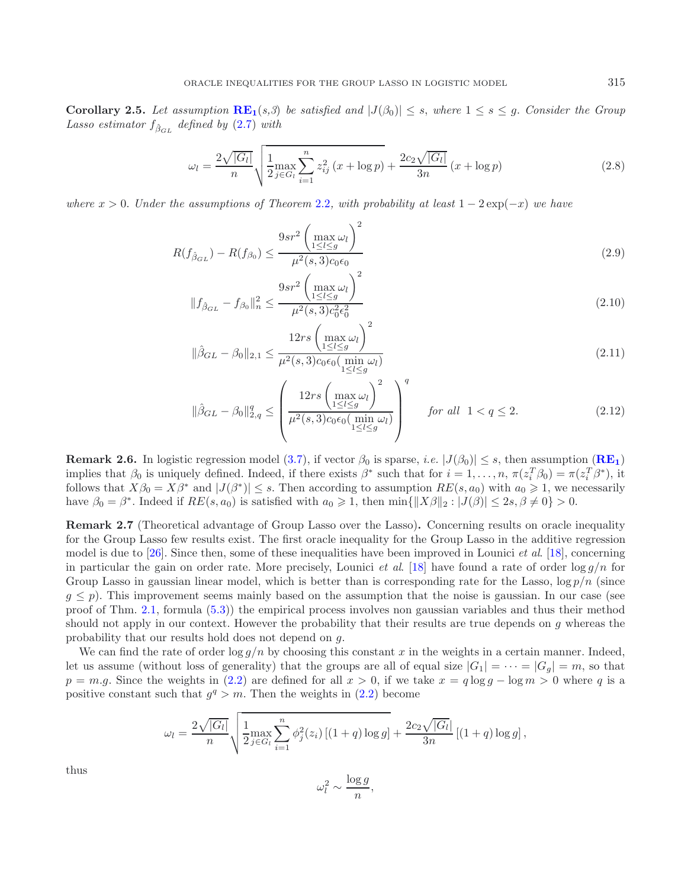**Corollary 2.5.** *Let assumption*  $\mathbb{RE}_1(s,3)$  $\mathbb{RE}_1(s,3)$  $\mathbb{RE}_1(s,3)$  *be satisfied and*  $|J(\beta_0)| \leq s$ , where  $1 \leq s \leq g$ . *Consider the Group Lasso estimator*  $f_{\hat{\beta}_{GL}}$  *defined by* [\(2.7\)](#page-5-3) *with* 

<span id="page-6-4"></span><span id="page-6-3"></span><span id="page-6-2"></span><span id="page-6-0"></span>
$$
\omega_l = \frac{2\sqrt{|G_l|}}{n} \sqrt{\frac{1}{2} \max_{j \in G_l} \sum_{i=1}^n z_{ij}^2 (x + \log p) + \frac{2c_2\sqrt{|G_l|}}{3n} (x + \log p)}
$$
(2.8)

*where*  $x > 0$ *. Under the assumptions of Theorem [2.2](#page-4-1), with probability at least*  $1 - 2 \exp(-x)$  *we have* 

$$
R(f_{\hat{\beta}_{GL}}) - R(f_{\beta_0}) \le \frac{9sr^2 \left(\max_{1 \le l \le g} \omega_l\right)^2}{\mu^2(s, 3)c_0 \epsilon_0}
$$
\n(2.9)

<span id="page-6-5"></span>
$$
||f_{\hat{\beta}_{GL}} - f_{\beta_0}||_n^2 \le \frac{9sr^2 \left(\max\limits_{1 \le l \le g} \omega_l\right)^2}{\mu^2(s, 3)c_0^2 \epsilon_0^2}
$$
\n(2.10)

$$
\|\hat{\beta}_{GL} - \beta_0\|_{2,1} \le \frac{12rs \left(\max_{1 \le l \le g} \omega_l\right)^2}{\mu^2(s, 3)c_0\epsilon_0(\min_{1 \le l \le g} \omega_l)}\tag{2.11}
$$

$$
\|\hat{\beta}_{GL} - \beta_0\|_{2,q}^q \le \left(\frac{12rs\left(\max_{1 \le l \le g} \omega_l\right)^2}{\mu^2(s,3)c_0\epsilon_0(\min_{1 \le l \le g} \omega_l)}\right)^q \quad \text{for all } 1 < q \le 2. \tag{2.12}
$$

<span id="page-6-1"></span>**Remark 2.6.** In logistic regression model [\(3.7\)](#page-10-1), if vector  $\beta_0$  is sparse, *i.e.*  $|J(\beta_0)| \leq s$ , then assumption (**[RE](#page-4-3)**<sub>1</sub>) implies that  $\beta_0$  is uniquely defined. Indeed, if there exists  $\beta^*$  such that for  $i = 1, \ldots, n$ ,  $\pi(z_i^T \beta_0) = \pi(z_i^T \beta^*)$ , it follows that  $X\beta_0 = X\beta^*$  and  $|I(\beta^*)| \leq s$ . Then according to assumption  $RE(s, g_0)$  with  $g$ follows that  $X\beta_0 = X\beta^*$  and  $|J(\beta^*)| \leq s$ . Then according to assumption  $RE(s, a_0)$  with  $a_0 \geq 1$ , we necessarily have  $\beta_2 = \beta^*$ . Indeed if  $RE(s, a_0)$  is satisfied with  $a_0 \geq 1$ , then  $\min\{|X\beta||_2 + |I(\beta)| \leq 2s, \beta \neq 0$ have  $\beta_0 = \beta^*$ . Indeed if  $RE(s, a_0)$  is satisfied with  $a_0 \geq 1$ , then  $\min\{\|X\beta\|_2 : |J(\beta)| \leq 2s, \beta \neq 0\} > 0$ .

**Remark 2.7** (Theoretical advantage of Group Lasso over the Lasso)**.** Concerning results on oracle inequality for the Group Lasso few results exist. The first oracle inequality for the Group Lasso in the additive regression model is due to [\[26\]](#page-22-20). Since then, some of these inequalities have been improved in Lounici *et al*. [\[18\]](#page-22-11), concerning in particular the gain on order rate. More precisely, Lounici *et al*. [\[18\]](#page-22-11) have found a rate of order log g/n for Group Lasso in gaussian linear model, which is better than is corresponding rate for the Lasso,  $\log p/n$  (since  $q \leq p$ ). This improvement seems mainly based on the assumption that the noise is gaussian. In our case (see proof of Thm. [2.1,](#page-4-0) formula [\(5.3\)](#page-12-0)) the empirical process involves non gaussian variables and thus their method should not apply in our context. However the probability that their results are true depends on  $g$  whereas the probability that our results hold does not depend on g.

We can find the rate of order  $\log g/n$  by choosing this constant x in the weights in a certain manner. Indeed, let us assume (without loss of generality) that the groups are all of equal size  $|G_1| = \cdots = |G_q| = m$ , so that  $p = m.g.$  Since the weights in [\(2.2\)](#page-4-4) are defined for all  $x > 0$ , if we take  $x = q \log q - \log m > 0$  where q is a positive constant such that  $q^q > m$ . Then the weights in [\(2.2\)](#page-4-4) become

$$
\omega_l = \frac{2\sqrt{|G_l|}}{n} \sqrt{\frac{1}{2\max_{j \in G_l} \sum_{i=1}^n \phi_j^2(z_i) \left[ (1+q) \log g \right] + \frac{2c_2\sqrt{|G_l|}}{3n} \left[ (1+q) \log g \right]},
$$

thus

$$
\omega_l^2 \sim \frac{\log g}{n},
$$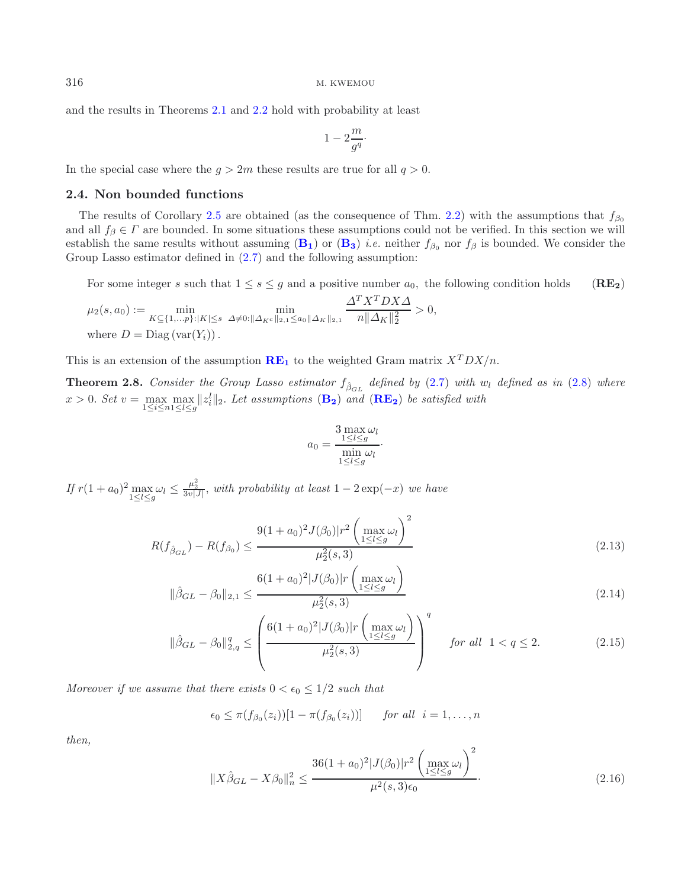and the results in Theorems [2.1](#page-4-0) and [2.2](#page-4-1) hold with probability at least

<span id="page-7-3"></span>
$$
1 - 2\frac{m}{g^q}.
$$

<span id="page-7-0"></span>In the special case where the  $q > 2m$  these results are true for all  $q > 0$ .

### **2.4. Non bounded functions**

The results of Corollary [2.5](#page-5-4) are obtained (as the consequence of Thm. [2.2\)](#page-4-1) with the assumptions that  $f_{\beta_0}$ and all  $f_\beta \in \Gamma$  are bounded. In some situations these assumptions could not be verified. In this section we will establish the same results without assuming  $(\mathbf{B}_1)$  $(\mathbf{B}_1)$  $(\mathbf{B}_1)$  or  $(\mathbf{B}_3)$  *i.e.* neither  $f_{\beta_0}$  nor  $f_{\beta}$  is bounded. We consider the Group Lasso estimator defined in [\(2.7\)](#page-5-3) and the following assumption:

For some integer s such that  $1 \leq s \leq g$  and a positive number  $a_0$ , the following condition holds (**RE**<sub>2</sub>)

$$
\mu_2(s, a_0) := \min_{K \subseteq \{1, \dots, p\} : |K| \le s} \min_{\Delta \neq 0 : \|\Delta_{K^c}\|_{2, 1} \le a_0 \|\Delta_K\|_{2, 1}} \frac{\Delta^T X^T D X \Delta}{n \|\Delta_K\|_2^2} > 0,
$$
  
where  $D = \text{Diag}(\text{var}(Y_i)).$ 

This is an extension of the assumption  $\mathbf{RE_1}$  $\mathbf{RE_1}$  $\mathbf{RE_1}$  to the weighted Gram matrix  $X^TDX/n$ .

**Theorem 2.8.** *Consider the Group Lasso estimator*  $f_{\hat{\beta}_{GL}}$  *defined by* [\(2.7\)](#page-5-3) *with*  $w_l$  *defined as in* [\(2.8\)](#page-6-0) *where*  $x > 0$ . Set  $v = \max_{1 \leq i \leq n} \max_{1 \leq l \leq g} ||z_i^l||_2$ . Let assumptions  $(\mathbf{B_2})$  $(\mathbf{B_2})$  $(\mathbf{B_2})$  and  $(\mathbf{RE_2})$  $(\mathbf{RE_2})$  $(\mathbf{RE_2})$  be satisfied with

<span id="page-7-4"></span><span id="page-7-2"></span><span id="page-7-1"></span>
$$
a_0 = \frac{3 \max_{1 \le l \le g} \omega_l}{\min_{1 \le l \le g} \omega_l}.
$$

<span id="page-7-5"></span>*If*  $r(1 + a_0)^2 \max_{1 \leq l \leq g} \omega_l \leq \frac{\mu_2^2}{3v|J|}$ , *with probability at least*  $1 - 2 \exp(-x)$  *we have* 

$$
R(f_{\hat{\beta}_{GL}}) - R(f_{\beta_0}) \le \frac{9(1+a_0)^2 J(\beta_0) |r^2 \left(\max_{1 \le l \le g} \omega_l\right)^2}{\mu_2^2(s,3)}
$$
\n(2.13)

$$
\|\hat{\beta}_{GL} - \beta_0\|_{2,1} \le \frac{6(1+a_0)^2 |J(\beta_0)| r \left(\max_{1 \le l \le g} \omega_l\right)}{\mu_2^2(s,3)}\tag{2.14}
$$

$$
\|\hat{\beta}_{GL} - \beta_0\|_{2,q}^q \le \left(\frac{6(1+a_0)^2 |J(\beta_0)| r \left(\max_{1 \le l \le g} \omega_l\right)}{\mu_2^2(s,3)}\right)^q \quad \text{for all } 1 < q \le 2. \tag{2.15}
$$

*Moreover if we assume that there exists*  $0 < \epsilon_0 \leq 1/2$  *such that* 

$$
\epsilon_0 \leq \pi(f_{\beta_0}(z_i))[1-\pi(f_{\beta_0}(z_i))] \quad \text{for all } i=1,\ldots,n
$$

*then,*

$$
||X\hat{\beta}_{GL} - X\beta_0||_n^2 \le \frac{36(1+a_0)^2|J(\beta_0)|r^2\left(\max_{1\le l\le g}\omega_l\right)^2}{\mu^2(s,3)\epsilon_0}.
$$
\n(2.16)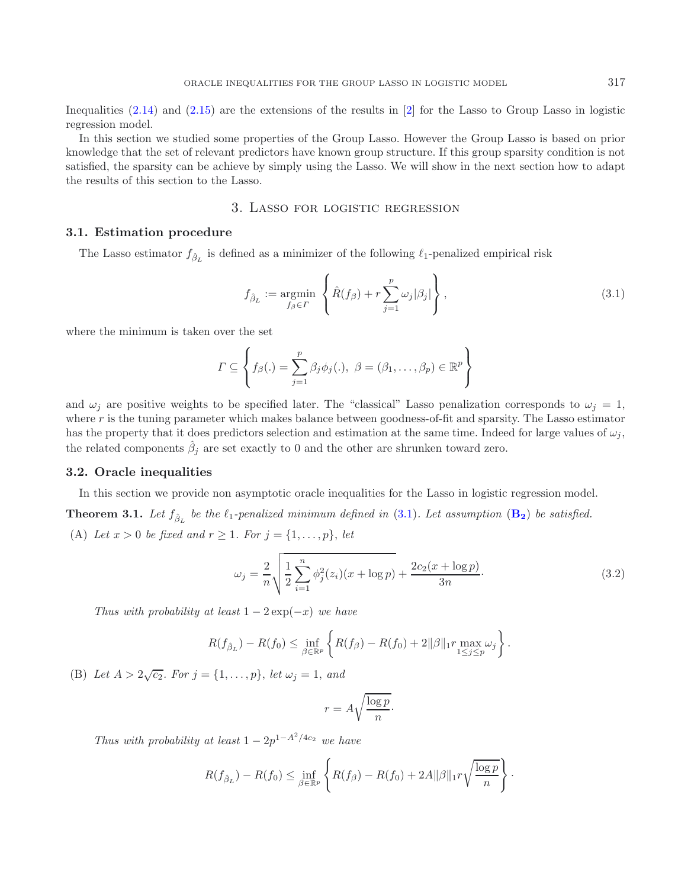Inequalities [\(2.14\)](#page-7-1) and [\(2.15\)](#page-7-2) are the extensions of the results in [\[2](#page-21-4)] for the Lasso to Group Lasso in logistic regression model.

In this section we studied some properties of the Group Lasso. However the Group Lasso is based on prior knowledge that the set of relevant predictors have known group structure. If this group sparsity condition is not satisfied, the sparsity can be achieve by simply using the Lasso. We will show in the next section how to adapt the results of this section to the Lasso.

# <span id="page-8-3"></span>3. Lasso for logistic regression

### <span id="page-8-1"></span>**3.1. Estimation procedure**

The Lasso estimator  $f_{\hat{\beta}_L}$  is defined as a minimizer of the following  $\ell_1$ -penalized empirical risk

<span id="page-8-0"></span>
$$
f_{\hat{\beta}_L} := \underset{f_\beta \in \Gamma}{\text{argmin}} \left\{ \hat{R}(f_\beta) + r \sum_{j=1}^p \omega_j |\beta_j| \right\},\tag{3.1}
$$

where the minimum is taken over the set

<span id="page-8-2"></span>
$$
\Gamma \subseteq \left\{ f_{\beta}(.)=\sum_{j=1}^p \beta_j \phi_j(.), \ \beta=(\beta_1,\ldots,\beta_p) \in \mathbb{R}^p \right\}
$$

and  $\omega_i$  are positive weights to be specified later. The "classical" Lasso penalization corresponds to  $\omega_i = 1$ , where  $r$  is the tuning parameter which makes balance between goodness-of-fit and sparsity. The Lasso estimator has the property that it does predictors selection and estimation at the same time. Indeed for large values of  $\omega_j$ , the related components  $\hat{\beta}_j$  are set exactly to 0 and the other are shrunken toward zero.

### **3.2. Oracle inequalities**

In this section we provide non asymptotic oracle inequalities for the Lasso in logistic regression model.

**Theorem 3.1.** Let  $f_{\hat{\beta}_L}$  be the  $\ell_1$ -penalized minimum defined in [\(3.1\)](#page-8-3). Let assumption  $(\mathbf{B_2})$  $(\mathbf{B_2})$  $(\mathbf{B_2})$  be satisfied. (A) Let  $x > 0$  be fixed and  $r \ge 1$ *. For*  $j = \{1, ..., p\}$ *, let* 

$$
\omega_j = \frac{2}{n} \sqrt{\frac{1}{2} \sum_{i=1}^n \phi_j^2(z_i)(x + \log p)} + \frac{2c_2(x + \log p)}{3n}.
$$
\n(3.2)

*Thus with probability at least*  $1 - 2 \exp(-x)$  *we have* 

$$
R(f_{\hat{\beta}_L}) - R(f_0) \le \inf_{\beta \in \mathbb{R}^p} \left\{ R(f_{\beta}) - R(f_0) + 2||\beta||_1 r \max_{1 \le j \le p} \omega_j \right\}
$$

(B) Let  $A > 2\sqrt{c_2}$ . For  $j = \{1, ..., p\}$ , let  $\omega_j = 1$ , and

$$
r = A \sqrt{\frac{\log p}{n}}.
$$

*Thus with probability at least*  $1 - 2p^{1-A^2/4c_2}$  *we have* 

$$
R(f_{\hat{\beta}_L}) - R(f_0) \leq \inf_{\beta \in \mathbb{R}^p} \left\{ R(f_{\beta}) - R(f_0) + 2A ||\beta||_1 r \sqrt{\frac{\log p}{n}} \right\}.
$$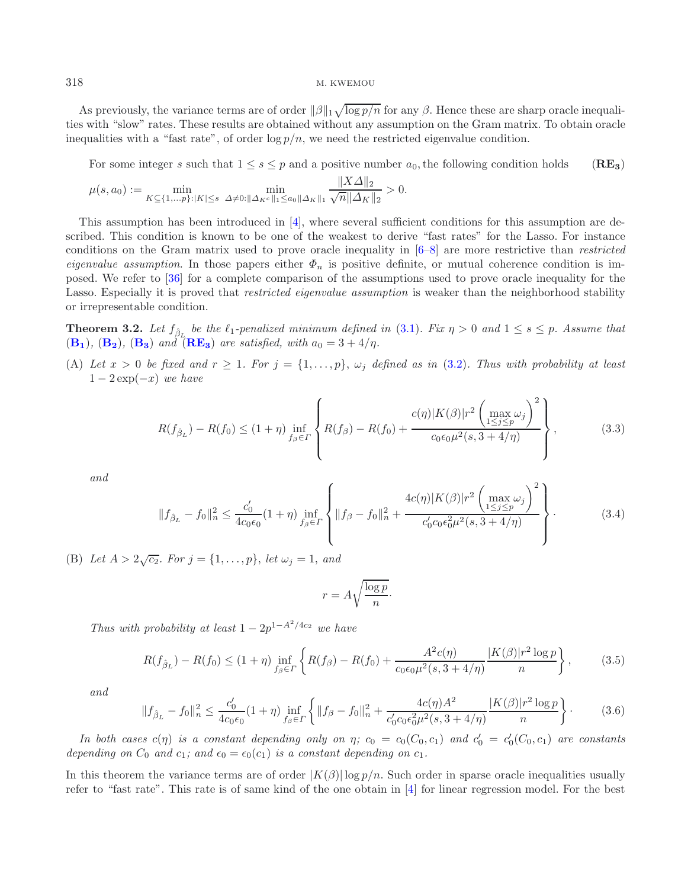As previously, the variance terms are of order  $\|\beta\|_1 \sqrt{\log p/n}$  for any  $\beta$ . Hence these are sharp oracle inequali-<br>s with "slow" rates. These results are obtained without any assumption on the Gram matrix. To obtain ora ties with "slow" rates. These results are obtained without any assumption on the Gram matrix. To obtain oracle inequalities with a "fast rate", of order  $\log p/n$ , we need the restricted eigenvalue condition.

<span id="page-9-0"></span>For some integer s such that  $1 \leq s \leq p$  and a positive number  $a_0$ , the following condition holds (**RE**<sub>3</sub>)

<span id="page-9-3"></span>
$$
\mu(s, a_0) := \min_{K \subseteq \{1, \dots, p\} : |K| \le s} \ \min_{\Delta K^c \| 1 \le a_0 \| \Delta K \|_1} \frac{\|X\Delta\|_2}{\sqrt{n} \|\Delta K\|_2} > 0.
$$

This assumption has been introduced in [\[4\]](#page-21-3), where several sufficient conditions for this assumption are described. This condition is known to be one of the weakest to derive "fast rates" for the Lasso. For instance conditions on the Gram matrix used to prove oracle inequality in [\[6](#page-21-2)[–8](#page-22-8)] are more restrictive than *restricted eigenvalue assumption*. In those papers either  $\Phi_n$  is positive definite, or mutual coherence condition is imposed. We refer to [\[36\]](#page-22-32) for a complete comparison of the assumptions used to prove oracle inequality for the Lasso. Especially it is proved that *restricted eigenvalue assumption* is weaker than the neighborhood stability or irrepresentable condition.

<span id="page-9-1"></span>**Theorem 3.2.** Let  $f_{\hat{\beta}_L}$  be the  $\ell_1$ -penalized minimum defined in [\(3.1\)](#page-8-3). Fix  $\eta > 0$  and  $1 \leq s \leq p$ . Assume that  $({\bf B}_1)$  $({\bf B}_1)$  $({\bf B}_1)$ ,  $({\bf B}_2)$ ,  $({\bf B}_3)$  *and*  $({\bf RE}_3)$  $({\bf RE}_3)$  $({\bf RE}_3)$  *are satisfied, with*  $a_0 = 3 + 4/\eta$ .

(A) Let  $x > 0$  be fixed and  $r \geq 1$ *. For*  $j = \{1, \ldots, p\}$ ,  $\omega_j$  defined as in [\(3.2\)](#page-8-2). Thus with probability at least  $1 - 2 \exp(-x)$  *we have* 

$$
R(f_{\hat{\beta}_L}) - R(f_0) \le (1+\eta) \inf_{f_{\beta} \in \Gamma} \left\{ R(f_{\beta}) - R(f_0) + \frac{c(\eta)|K(\beta)|r^2 \left(\max_{1 \le j \le p} \omega_j\right)^2}{c_0 \epsilon_0 \mu^2(s, 3 + 4/\eta)} \right\},
$$
(3.3)

*and*

<span id="page-9-4"></span>
$$
||f_{\hat{\beta}_L} - f_0||_n^2 \le \frac{c_0'}{4c_0\epsilon_0} (1+\eta) \inf_{f_{\beta} \in \Gamma} \left\{ ||f_{\beta} - f_0||_n^2 + \frac{4c(\eta)|K(\beta)|r^2 \left(\max_{1 \le j \le p} \omega_j\right)^2}{c_0'c_0\epsilon_0^2\mu^2(s, 3 + 4/\eta)} \right\}.
$$
 (3.4)

<span id="page-9-2"></span>(B) Let  $A > 2\sqrt{c_2}$ . For  $j = \{1, ..., p\}$ , let  $\omega_j = 1$ , and

$$
r = A \sqrt{\frac{\log p}{n}}.
$$

*Thus with probability at least*  $1 - 2p^{1-A^2/4c_2}$  *we have* 

$$
R(f_{\hat{\beta}_L}) - R(f_0) \le (1+\eta) \inf_{f_{\beta} \in \Gamma} \left\{ R(f_{\beta}) - R(f_0) + \frac{A^2 c(\eta)}{c_0 \epsilon_0 \mu^2(s, 3 + 4/\eta)} \frac{|K(\beta)| r^2 \log p}{n} \right\},\tag{3.5}
$$

*and*

$$
||f_{\hat{\beta}_L} - f_0||_n^2 \le \frac{c_0'}{4c_0\epsilon_0} (1+\eta) \inf_{f_{\beta} \in \Gamma} \left\{ ||f_{\beta} - f_0||_n^2 + \frac{4c(\eta)A^2}{c_0'c_0\epsilon_0^2\mu^2(s, 3+4/\eta)} \frac{|K(\beta)|r^2 \log p}{n} \right\}.
$$
 (3.6)

*In both cases*  $c(\eta)$  *is a constant depending only on*  $\eta$ ;  $c_0 = c_0(C_0, c_1)$  *and*  $c'_0 = c'_0(C_0, c_1)$  *are constants* depending on  $C_0$  and  $c_1$ ; and  $\epsilon_0 = \epsilon_0(c_1)$  *is a constant depending on*  $c_1$ *.* 

In this theorem the variance terms are of order  $|K(\beta)| \log p/n$ . Such order in sparse oracle inequalities usually refer to "fast rate". This rate is of same kind of the one obtain in [\[4\]](#page-21-3) for linear regression model. For the best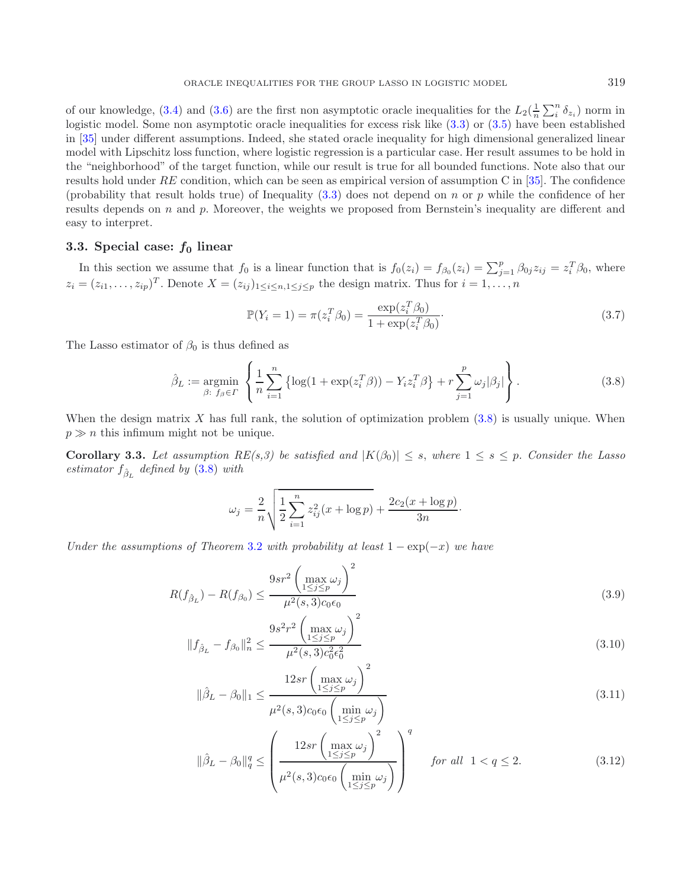of our knowledge,  $(3.4)$  and  $(3.6)$  are the first non asymptotic oracle inequalities for the  $L_2(\frac{1}{n}\sum_{i}^{n}\delta_{z_i})$  norm in<br>logistic model. Some non asymptotic oracle inequalities for excess risk like  $(3.3)$  or  $(3.5$ logistic model. Some non asymptotic oracle inequalities for excess risk like [\(3.3\)](#page-9-3) or [\(3.5\)](#page-9-4) have been established in [\[35](#page-22-27)] under different assumptions. Indeed, she stated oracle inequality for high dimensional generalized linear model with Lipschitz loss function, where logistic regression is a particular case. Her result assumes to be hold in the "neighborhood" of the target function, while our result is true for all bounded functions. Note also that our results hold under RE condition, which can be seen as empirical version of assumption C in [\[35\]](#page-22-27). The confidence (probability that result holds true) of Inequality [\(3.3\)](#page-9-3) does not depend on n or p while the confidence of her results depends on n and p. Moreover, the weights we proposed from Bernstein's inequality are different and easy to interpret.

### <span id="page-10-0"></span>**3.3. Special case:** *f***<sup>0</sup> linear**

In this section we assume that  $f_0$  is a linear function that is  $f_0(z_i) = f_{\beta_0}(z_i) = \sum_{j=1}^p \beta_{0j} z_{ij} = z_i^T \beta_0$ , where  $z_i = (z_{i1},\ldots,z_{ip})^T$ . Denote  $X = (z_{ij})_{1 \leq i \leq n, 1 \leq j \leq p}$  the design matrix. Thus for  $i = 1,\ldots,n$ 

<span id="page-10-3"></span><span id="page-10-2"></span><span id="page-10-1"></span>
$$
\mathbb{P}(Y_i = 1) = \pi(z_i^T \beta_0) = \frac{\exp(z_i^T \beta_0)}{1 + \exp(z_i^T \beta_0)}.
$$
\n(3.7)

The Lasso estimator of  $\beta_0$  is thus defined as

$$
\hat{\beta}_L := \underset{\beta: \ f_\beta \in \Gamma}{\text{argmin}} \left\{ \frac{1}{n} \sum_{i=1}^n \left\{ \log(1 + \exp(z_i^T \beta)) - Y_i z_i^T \beta \right\} + r \sum_{j=1}^p \omega_j |\beta_j| \right\}.
$$
\n(3.8)

<span id="page-10-5"></span>When the design matrix X has full rank, the solution of optimization problem  $(3.8)$  is usually unique. When  $p \gg n$  this infimum might not be unique.

**Corollary 3.3.** *Let assumption RE(s,3) be satisfied and*  $|K(\beta_0)| \leq s$ , *where*  $1 \leq s \leq p$ *. Consider the Lasso estimator*  $f_{\hat{\beta}_L}$  *defined by* [\(3.8\)](#page-10-2) *with* 

<span id="page-10-6"></span><span id="page-10-4"></span>
$$
\omega_j = \frac{2}{n} \sqrt{\frac{1}{2} \sum_{i=1}^n z_{ij}^2 (x + \log p)} + \frac{2c_2(x + \log p)}{3n}.
$$

*Under the assumptions of Theorem* [3.2](#page-9-0) *with probability at least* <sup>1</sup> <sup>−</sup> exp(−x) *we have*

$$
R(f_{\hat{\beta}_L}) - R(f_{\beta_0}) \le \frac{9sr^2 \left(\max\limits_{1 \le j \le p} \omega_j\right)^2}{\mu^2(s, 3)c_0\epsilon_0}
$$
\n(3.9)

$$
||f_{\hat{\beta}_L} - f_{\beta_0}||_n^2 \le \frac{9s^2r^2 \left(\max\limits_{1 \le j \le p} \omega_j\right)^2}{\mu^2(s, 3)c_0^2 \epsilon_0^2}
$$
\n(3.10)

$$
\|\hat{\beta}_L - \beta_0\|_1 \le \frac{12sr \left(\max\limits_{1 \le j \le p} \omega_j\right)^2}{\mu^2(s, 3)c_0\epsilon_0 \left(\min\limits_{1 \le j \le p} \omega_j\right)}\tag{3.11}
$$

$$
\|\hat{\beta}_L - \beta_0\|_q^q \le \left(\frac{12sr\left(\max\limits_{1\leq j\leq p}\omega_j\right)^2}{\mu^2(s,3)c_0\epsilon_0\left(\min\limits_{1\leq j\leq p}\omega_j\right)}\right)^q \quad \text{for all } 1 < q \leq 2. \tag{3.12}
$$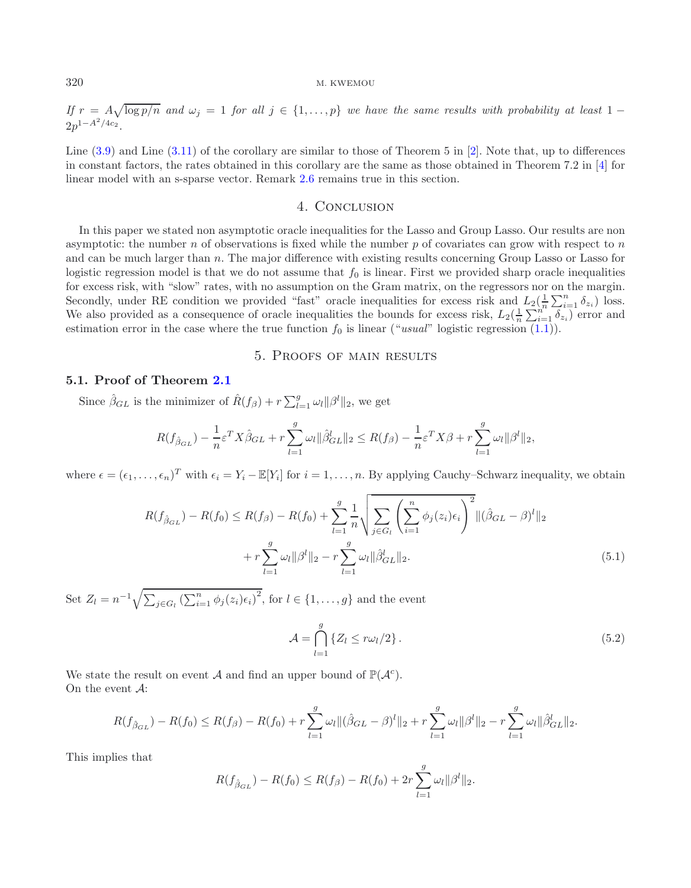$\iint r = A \sqrt{\log p/n}$  and  $\omega_j = 1$  *for all*  $j \in \{1, ..., p\}$  *we have the same results with probability at least*  $1 - \Omega_{\text{max}} - A^2/4c_2$  $2p^{1-A^2/4c_2}$ .

Line [\(3.9\)](#page-10-3) and Line [\(3.11\)](#page-10-4) of the corollary are similar to those of Theorem 5 in [\[2](#page-21-4)]. Note that, up to differences in constant factors, the rates obtained in this corollary are the same as those obtained in Theorem 7.2 in [\[4\]](#page-21-3) for linear model with an s-sparse vector. Remark [2.6](#page-6-1) remains true in this section.

### 4. CONCLUSION

In this paper we stated non asymptotic oracle inequalities for the Lasso and Group Lasso. Our results are non asymptotic: the number  $n$  of observations is fixed while the number  $p$  of covariates can grow with respect to  $n$ and can be much larger than n. The major difference with existing results concerning Group Lasso or Lasso for logistic regression model is that we do not assume that  $f_0$  is linear. First we provided sharp oracle inequalities for excess risk, with "slow" rates, with no assumption on the Gram matrix, on the regressors nor on the margin. Secondly, under RE condition we provided "fast" oracle inequalities for excess risk and  $L_2(\frac{1}{n}\sum_{i=1}^n \delta_{z_i})$  loss.<br>We also provided as a consequence of oracle inequalities the bounds for excess risk  $L_2(\frac{1}{n}\sum_{i=1$ We also provided as a consequence of oracle inequalities the bounds for excess risk,  $L_2(\frac{1}{n}\sum_{i=1}^{n} \delta_{z_i})$  error and estimation error in the case where the true function  $f_2$  is linear *("nevel"* logistic regressio estimation error in the case where the true function  $f_0$  is linear ("*usual*" logistic regression [\(1.1\)](#page-0-0)).

## <span id="page-11-2"></span><span id="page-11-1"></span>5. Proofs of main results

### <span id="page-11-0"></span>**5.1. Proof of Theorem [2.1](#page-4-0)**

Since  $\hat{\beta}_{GL}$  is the minimizer of  $\hat{R}(f_{\beta}) + r \sum_{l=1}^{g} \omega_{l} ||\beta^{l}||_{2}$ , we get

$$
R(f_{\hat{\beta}_{GL}}) - \frac{1}{n} \varepsilon^T X \hat{\beta}_{GL} + r \sum_{l=1}^g \omega_l ||\hat{\beta}_{GL}^l||_2 \leq R(f_{\beta}) - \frac{1}{n} \varepsilon^T X \beta + r \sum_{l=1}^g \omega_l ||\beta^l||_2,
$$

where  $\epsilon = (\epsilon_1, \ldots, \epsilon_n)^T$  with  $\epsilon_i = Y_i - \mathbb{E}[Y_i]$  for  $i = 1, \ldots, n$ . By applying Cauchy–Schwarz inequality, we obtain

$$
R(f_{\hat{\beta}_{GL}}) - R(f_0) \le R(f_{\beta}) - R(f_0) + \sum_{l=1}^{g} \frac{1}{n} \sqrt{\sum_{j \in G_l} \left(\sum_{i=1}^{n} \phi_j(z_i)\epsilon_i\right)^2} \|(\hat{\beta}_{GL} - \beta)^l\|_2
$$
  
+ 
$$
r \sum_{l=1}^{g} \omega_l \|\beta^l\|_2 - r \sum_{l=1}^{g} \omega_l \|\hat{\beta}_{GL}^l\|_2.
$$
 (5.1)

Set  $Z_l = n^{-1} \sqrt{\sum_{j \in G_l} (\sum_{i=1}^n \phi_j(z_i) \epsilon_i)^2}$ , for  $l \in \{1, ..., g\}$  and the event

$$
\mathcal{A} = \bigcap_{l=1}^{g} \left\{ Z_l \le r\omega_l/2 \right\}.
$$
\n(5.2)

We state the result on event A and find an upper bound of  $\mathbb{P}(\mathcal{A}^c)$ . On the event A:

$$
R(f_{\hat{\beta}_{GL}}) - R(f_0) \le R(f_{\beta}) - R(f_0) + r \sum_{l=1}^{g} \omega_l ||(\hat{\beta}_{GL} - \beta)^l||_2 + r \sum_{l=1}^{g} \omega_l ||\beta^l||_2 - r \sum_{l=1}^{g} \omega_l ||\hat{\beta}_{GL}^l||_2.
$$

This implies that

$$
R(f_{\hat{\beta}_{GL}}) - R(f_0) \le R(f_{\beta}) - R(f_0) + 2r \sum_{l=1}^{g} \omega_l ||\beta^l||_2.
$$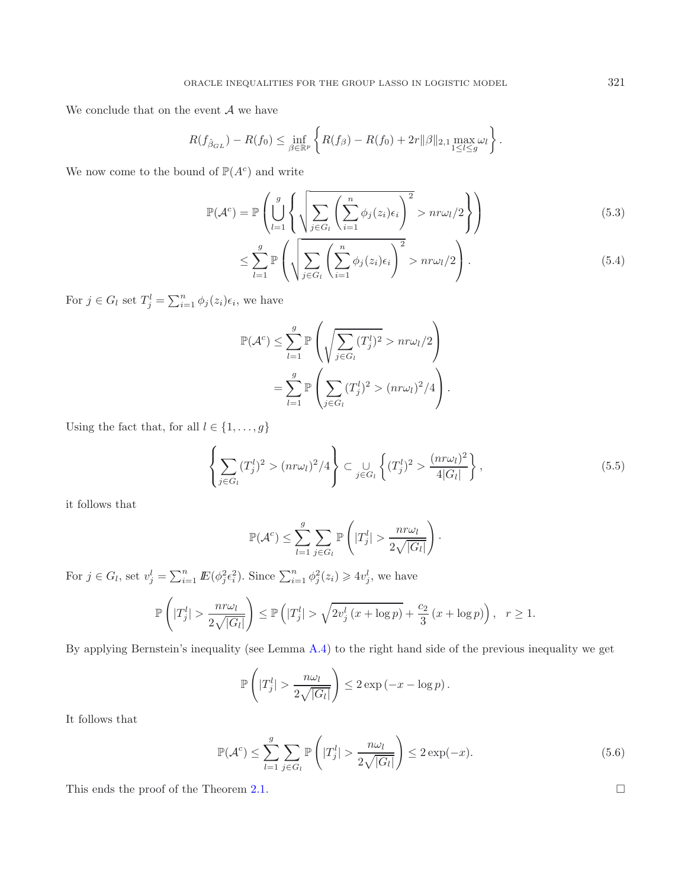We conclude that on the event  $\mathcal A$  we have

$$
R(f_{\hat{\beta}_{GL}}) - R(f_0) \le \inf_{\beta \in \mathbb{R}^p} \left\{ R(f_{\beta}) - R(f_0) + 2r||\beta||_{2,1} \max_{1 \le l \le g} \omega_l \right\}.
$$

We now come to the bound of  $\mathbb{P}(A^c)$  and write

$$
\mathbb{P}(\mathcal{A}^c) = \mathbb{P}\left(\bigcup_{l=1}^g \left\{ \sqrt{\sum_{j \in G_l} \left(\sum_{i=1}^n \phi_j(z_i)\epsilon_i\right)^2} > nr\omega_l/2 \right\} \right)
$$
(5.3)

$$
\leq \sum_{l=1}^{g} \mathbb{P}\left(\sqrt{\sum_{j\in G_l} \left(\sum_{i=1}^{n} \phi_j(z_i)\epsilon_i\right)^2} > nr\omega_l/2\right).
$$
\n(5.4)

For  $j \in G_l$  set  $T_j^l = \sum_{i=1}^n \phi_j(z_i) \epsilon_i$ , we have

$$
\mathbb{P}(\mathcal{A}^c) \leq \sum_{l=1}^g \mathbb{P}\left(\sqrt{\sum_{j \in G_l} (T_j^l)^2} > nr\omega_l/2\right)
$$
  
= 
$$
\sum_{l=1}^g \mathbb{P}\left(\sum_{j \in G_l} (T_j^l)^2 > (nr\omega_l)^2/4\right).
$$

Using the fact that, for all  $l \in \{1,\ldots,g\}$ 

$$
\left\{ \sum_{j \in G_l} (T_j^l)^2 > (nr\omega_l)^2/4 \right\} \subset \bigcup_{j \in G_l} \left\{ (T_j^l)^2 > \frac{(nr\omega_l)^2}{4|G_l|} \right\},\tag{5.5}
$$

it follows that

$$
\mathbb{P}(\mathcal{A}^c) \leq \sum_{l=1}^g \sum_{j \in G_l} \mathbb{P}\left(|T_j^l| > \frac{nr\omega_l}{2\sqrt{|G_l|}}\right).
$$

For  $j \in G_l$ , set  $v_j^l = \sum_{i=1}^n E(\phi_j^2 \epsilon_i^2)$ . Since  $\sum_{i=1}^n \phi_j^2(z_i) \geq 4v_j^l$ , we have

$$
\mathbb{P}\left(|T_j^l| > \frac{nr\omega_l}{2\sqrt{|G_l|}}\right) \le \mathbb{P}\left(|T_j^l| > \sqrt{2v_j^l(x + \log p)} + \frac{c_2}{3}(x + \log p)\right), \quad r \ge 1.
$$

By applying Bernstein's inequality (see Lemma [A.4\)](#page-21-5) to the right hand side of the previous inequality we get

$$
\mathbb{P}\left(|T_j^l| > \frac{n\omega_l}{2\sqrt{|G_l|}}\right) \le 2\exp\left(-x - \log p\right).
$$

It follows that

$$
\mathbb{P}(\mathcal{A}^c) \le \sum_{l=1}^g \sum_{j \in G_l} \mathbb{P}\left(|T_j^l| > \frac{n\omega_l}{2\sqrt{|G_l|}}\right) \le 2\exp(-x). \tag{5.6}
$$

This ends the proof of the Theorem [2.1.](#page-4-0)  $\Box$ 

<span id="page-12-1"></span>

<span id="page-12-0"></span>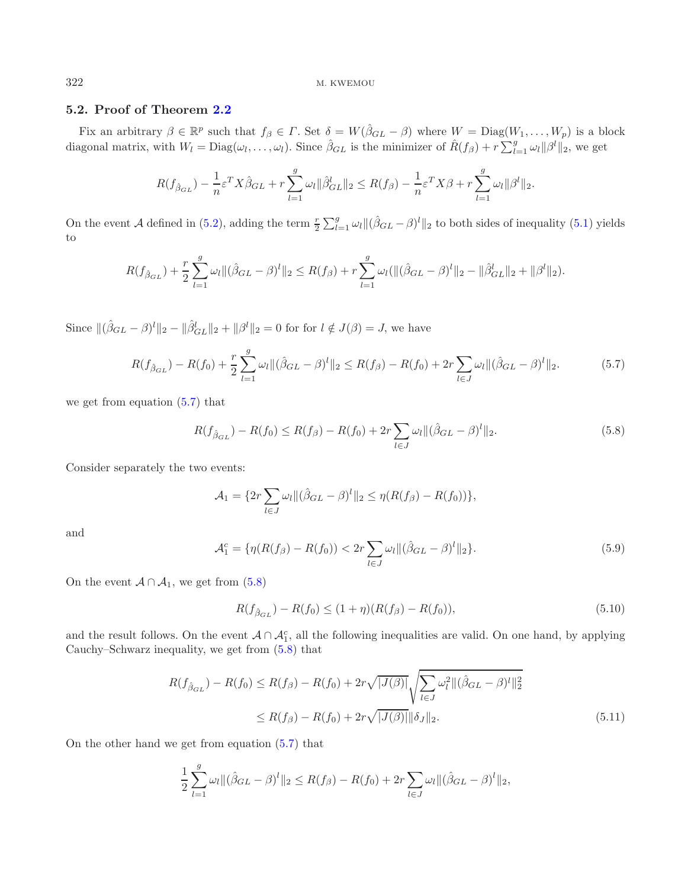## **5.2. Proof of Theorem [2.2](#page-4-1)**

Fix an arbitrary  $\beta \in \mathbb{R}^p$  such that  $f_{\beta} \in \Gamma$ . Set  $\delta = W(\hat{\beta}_{GL} - \beta)$  where  $W = \text{Diag}(W_1, \dots, W_p)$  is a block diagonal matrix, with  $W_l = \text{Diag}(\omega_l, \dots, \omega_l)$ . Since  $\hat{\beta}_{GL}$  is the minimizer of  $\hat{R}(f_\beta) + r \sum_{l=1}^g \omega_l ||\beta^l||_2$ , we get

<span id="page-13-0"></span>
$$
R(f_{\hat{\beta}_{GL}}) - \frac{1}{n} \varepsilon^T X \hat{\beta}_{GL} + r \sum_{l=1}^g \omega_l ||\hat{\beta}_{GL}^l||_2 \leq R(f_{\beta}) - \frac{1}{n} \varepsilon^T X \beta + r \sum_{l=1}^g \omega_l ||\beta^l||_2.
$$

On the event A defined in [\(5.2\)](#page-11-1), adding the term  $\frac{r}{2}$  $\sum_{l=1}^{g} \omega_l || (\hat{\beta}_{GL} - \beta)^l ||_2$  to both sides of inequality [\(5.1\)](#page-11-2) yields to

<span id="page-13-1"></span>
$$
R(f_{\hat{\beta}_{GL}}) + \frac{r}{2} \sum_{l=1}^{g} \omega_l \|(\hat{\beta}_{GL} - \beta)^l\|_2 \leq R(f_{\beta}) + r \sum_{l=1}^{g} \omega_l (\|(\hat{\beta}_{GL} - \beta)^l\|_2 - \|\hat{\beta}_{GL}^l\|_2 + \|\beta^l\|_2).
$$

<span id="page-13-2"></span>Since  $\| (\hat{\beta}_{GL} - \beta)^l \|_2 - \| \hat{\beta}_{GL}^l \|_2 + \| \beta^l \|_2 = 0$  for for  $l \notin J(\beta) = J$ , we have

$$
R(f_{\hat{\beta}_{GL}}) - R(f_0) + \frac{r}{2} \sum_{l=1}^{g} \omega_l \| (\hat{\beta}_{GL} - \beta)^l \|_2 \le R(f_\beta) - R(f_0) + 2r \sum_{l \in J} \omega_l \| (\hat{\beta}_{GL} - \beta)^l \|_2.
$$
 (5.7)

we get from equation [\(5.7\)](#page-13-0) that

<span id="page-13-4"></span>
$$
R(f_{\hat{\beta}_{GL}}) - R(f_0) \le R(f_{\beta}) - R(f_0) + 2r \sum_{l \in J} \omega_l \|(\hat{\beta}_{GL} - \beta)^l\|_2.
$$
\n(5.8)

Consider separately the two events:

$$
\mathcal{A}_1 = \{2r \sum_{l \in J} \omega_l ||(\hat{\beta}_{GL} - \beta)^l||_2 \leq \eta(R(f_\beta) - R(f_0))\},\
$$

and

$$
\mathcal{A}_1^c = \{ \eta(R(f_\beta) - R(f_0)) < 2r \sum_{l \in J} \omega_l \| (\hat{\beta}_{GL} - \beta)^l \|_2 \}. \tag{5.9}
$$

On the event  $\mathcal{A} \cap \mathcal{A}_1$ , we get from [\(5.8\)](#page-13-1)

<span id="page-13-3"></span>
$$
R(f_{\hat{\beta}_{GL}}) - R(f_0) \le (1 + \eta)(R(f_{\beta}) - R(f_0)),\tag{5.10}
$$

and the result follows. On the event  $A \cap A_1^c$ , all the following inequalities are valid. On one hand, by applying Cauchy–Schwarz inequality, we get from  $(5.8)$  that Cauchy–Schwarz inequality, we get from [\(5.8\)](#page-13-1) that

$$
R(f_{\hat{\beta}_{GL}}) - R(f_0) \le R(f_{\beta}) - R(f_0) + 2r\sqrt{|J(\beta)|} \sqrt{\sum_{l \in J} \omega_l^2 ||(\hat{\beta}_{GL} - \beta)^l||_2^2}
$$
  
 
$$
\le R(f_{\beta}) - R(f_0) + 2r\sqrt{|J(\beta)||\delta_J||_2}.
$$
 (5.11)

On the other hand we get from equation [\(5.7\)](#page-13-0) that

$$
\frac{1}{2}\sum_{l=1}^{g}\omega_{l}\|(\hat{\beta}_{GL}-\beta)^{l}\|_{2} \leq R(f_{\beta})-R(f_{0})+2r\sum_{l\in J}\omega_{l}\|(\hat{\beta}_{GL}-\beta)^{l}\|_{2},
$$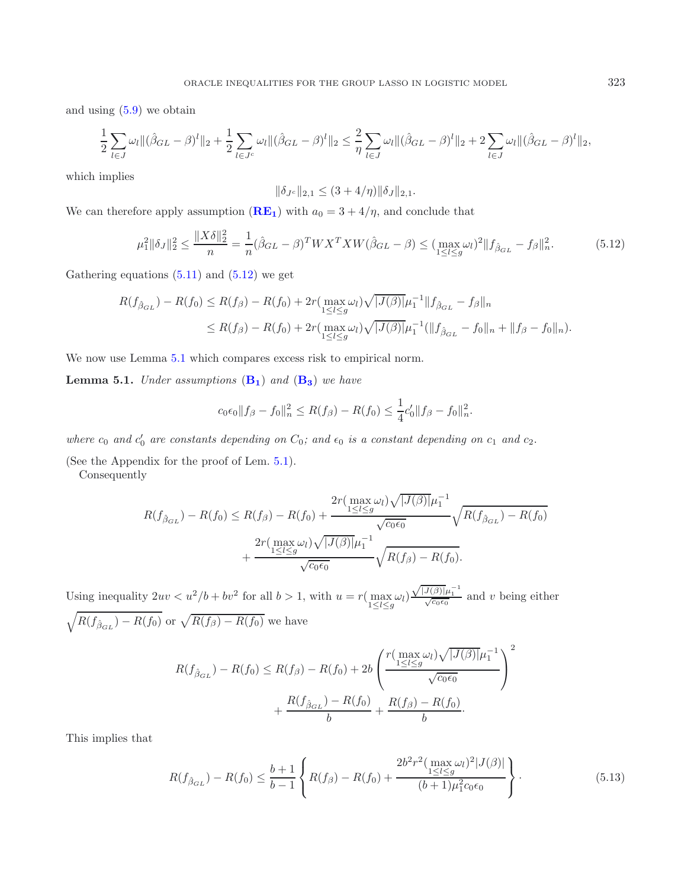and using [\(5.9\)](#page-13-2) we obtain

$$
\frac{1}{2} \sum_{l \in J} \omega_l \|(\hat{\beta}_{GL} - \beta)^l\|_2 + \frac{1}{2} \sum_{l \in J^c} \omega_l \|(\hat{\beta}_{GL} - \beta)^l\|_2 \leq \frac{2}{\eta} \sum_{l \in J} \omega_l \|(\hat{\beta}_{GL} - \beta)^l\|_2 + 2 \sum_{l \in J} \omega_l \|(\hat{\beta}_{GL} - \beta)^l\|_2,
$$

which implies

<span id="page-14-1"></span><span id="page-14-0"></span>
$$
\|\delta_{J^c}\|_{2,1}\leq (3+4/\eta)\|\delta_J\|_{2,1}.
$$

We can therefore apply assumption  $(\mathbf{RE}_1)$  $(\mathbf{RE}_1)$  $(\mathbf{RE}_1)$  with  $a_0 = 3 + 4/\eta$ , and conclude that

$$
\mu_1^2 \|\delta_J\|_2^2 \le \frac{\|X\delta\|_2^2}{n} = \frac{1}{n} (\hat{\beta}_{GL} - \beta)^T W X^T X W (\hat{\beta}_{GL} - \beta) \le (\max_{1 \le l \le g} \omega_l)^2 \|f_{\hat{\beta}_{GL}} - f_{\beta}\|_n^2. \tag{5.12}
$$

Gathering equations  $(5.11)$  and  $(5.12)$  we get

$$
R(f_{\hat{\beta}_{GL}}) - R(f_0) \le R(f_{\beta}) - R(f_0) + 2r(\max_{1 \le l \le g} \omega_l) \sqrt{|J(\beta)|} \mu_1^{-1} ||f_{\hat{\beta}_{GL}} - f_{\beta}||_n
$$
  

$$
\le R(f_{\beta}) - R(f_0) + 2r(\max_{1 \le l \le g} \omega_l) \sqrt{|J(\beta)|} \mu_1^{-1} (||f_{\hat{\beta}_{GL}} - f_0||_n + ||f_{\beta} - f_0||_n).
$$

We now use Lemma [5.1](#page-14-0) which compares excess risk to empirical norm.

**Lemma 5.1.** *Under assumptions* (**[B](#page-4-2)1**) *and* (**[B](#page-4-2)3**) *we have*

$$
c_0 \epsilon_0 \|f_\beta - f_0\|_n^2 \le R(f_\beta) - R(f_0) \le \frac{1}{4}c'_0 \|f_\beta - f_0\|_n^2.
$$

where  $c_0$  and  $c'_0$  are constants depending on  $C_0$ ; and  $\epsilon_0$  is a constant depending on  $c_1$  and  $c_2$ .

(See the Appendix for the proof of Lem. [5.1\)](#page-14-0).

Consequently

$$
R(f_{\hat{\beta}_{GL}}) - R(f_0) \le R(f_{\beta}) - R(f_0) + \frac{2r(\max\limits_{1 \le l \le g} \omega_l)\sqrt{|J(\beta)|}\mu_1^{-1}}{\sqrt{c_0 \epsilon_0}} \sqrt{R(f_{\hat{\beta}_{GL}}) - R(f_0)} + \frac{2r(\max\limits_{1 \le l \le g} \omega_l)\sqrt{|J(\beta)|}\mu_1^{-1}}{\sqrt{c_0 \epsilon_0}} \sqrt{R(f_{\beta}) - R(f_0)}.
$$

Using inequality  $2uv < u^2/b + bv^2$  for all  $b > 1$ , with  $u = r(\max_{1 \leq l \leq g} \omega_l)$  $\frac{\sqrt{|J(\beta)|}\mu_1^{-1}}{\sqrt{c_0\epsilon_0}}$  and v being either  $\sqrt{R(f_{\hat{\beta}_{GL}}) - R(f_0)}$  or  $\sqrt{R(f_{\beta}) - R(f_0)}$  we have

$$
R(f_{\hat{\beta}_{GL}}) - R(f_0) \le R(f_{\beta}) - R(f_0) + 2b \left( \frac{r(\max\limits_{1 \le l \le g} \omega_l) \sqrt{|J(\beta)|} \mu_1^{-1}}{\sqrt{c_0 \epsilon_0}} \right)^2 + \frac{R(f_{\hat{\beta}_{GL}}) - R(f_0)}{b} + \frac{R(f_{\beta}) - R(f_0)}{b}.
$$

This implies that

$$
R(f_{\hat{\beta}_{GL}}) - R(f_0) \le \frac{b+1}{b-1} \left\{ R(f_{\beta}) - R(f_0) + \frac{2b^2 r^2 (\max l \omega_l)^2 |J(\beta)|}{(b+1) \mu_1^2 c_0 \epsilon_0} \right\}.
$$
\n(5.13)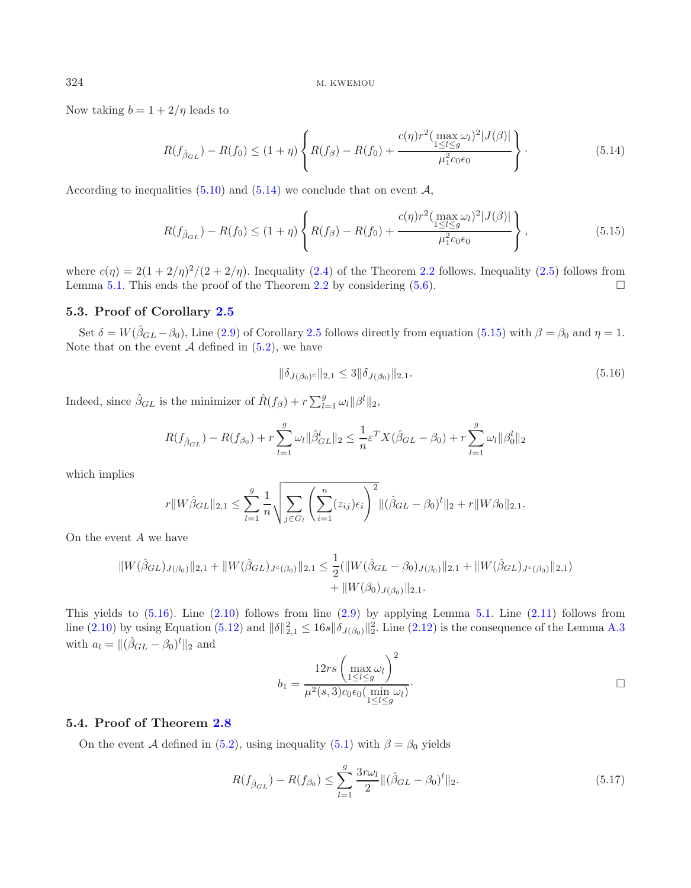Now taking  $b = 1 + 2/\eta$  leads to

<span id="page-15-2"></span><span id="page-15-1"></span>
$$
R(f_{\hat{\beta}_{GL}}) - R(f_0) \le (1+\eta) \left\{ R(f_{\beta}) - R(f_0) + \frac{c(\eta)r^2(\max\limits_{1 \le l \le g} \omega_l)^2|J(\beta)|}{\mu_1^2 c_0 \epsilon_0} \right\}.
$$
\n(5.14)

According to inequalities  $(5.10)$  and  $(5.14)$  we conclude that on event A,

$$
R(f_{\hat{\beta}_{GL}}) - R(f_0) \le (1+\eta) \left\{ R(f_{\beta}) - R(f_0) + \frac{c(\eta)r^2(\max_{1 \le l \le g} \omega_l)^2|J(\beta)|}{\mu_1^2 c_0 \epsilon_0} \right\},
$$
\n(5.15)

where  $c(\eta) = 2(1 + 2/\eta)^2/(2 + 2/\eta)$ . Inequality [\(2.4\)](#page-5-1) of the Theorem [2.2](#page-4-1) follows. Inequality [\(2.5\)](#page-5-2) follows from Lemma 5.1. This ends the proof of the Theorem 2.2 by considering (5.6). Lemma [5.1.](#page-14-0) This ends the proof of the Theorem [2.2](#page-4-1) by considering [\(5.6\)](#page-12-1).

## **5.3. Proof of Corollary [2.5](#page-5-4)**

Set  $\delta = W(\hat{\beta}_{GL} - \beta_0)$ , Line [\(2.9\)](#page-6-2) of Corollary [2.5](#page-5-4) follows directly from equation [\(5.15\)](#page-15-1) with  $\beta = \beta_0$  and  $\eta = 1$ . Note that on the event  $A$  defined in  $(5.2)$ , we have

$$
\|\delta_{J(\beta_0)^c}\|_{2,1} \le 3 \|\delta_{J(\beta_0)}\|_{2,1}.\tag{5.16}
$$

Indeed, since  $\hat{\beta}_{GL}$  is the minimizer of  $\hat{R}(f_{\beta}) + r \sum_{l=1}^{g} \omega_{l} ||\beta^{l}||_{2}$ ,

$$
R(f_{\hat{\beta}_{GL}}) - R(f_{\beta_0}) + r \sum_{l=1}^{g} \omega_l ||\hat{\beta}_{GL}^l||_2 \le \frac{1}{n} \varepsilon^T X(\hat{\beta}_{GL} - \beta_0) + r \sum_{l=1}^{g} \omega_l ||\beta_0^l||_2
$$

which implies

<span id="page-15-3"></span>
$$
r||W\hat{\beta}_{GL}||_{2,1} \leq \sum_{l=1}^{g} \frac{1}{n} \sqrt{\sum_{j \in G_l} \left(\sum_{i=1}^{n} (z_{ij})\epsilon_i\right)^2} ||(\hat{\beta}_{GL} - \beta_0)^l||_2 + r||W\beta_0||_{2,1}.
$$

On the event A we have

$$
||W(\hat{\beta}_{GL})_{J(\beta_{0})}||_{2,1} + ||W(\hat{\beta}_{GL})_{J^{c}(\beta_{0})}||_{2,1} \leq \frac{1}{2} (||W(\hat{\beta}_{GL} - \beta_{0})_{J(\beta_{0})}||_{2,1} + ||W(\hat{\beta}_{GL})_{J^{c}(\beta_{0})}||_{2,1}) + ||W(\beta_{0})_{J(\beta_{0})}||_{2,1}.
$$

This yields to  $(5.16)$ . Line  $(2.10)$  follows from line  $(2.9)$  by applying Lemma [5.1.](#page-14-0) Line  $(2.11)$  follows from line [\(2.10\)](#page-6-3) by using Equation [\(5.12\)](#page-14-1) and  $\|\delta\|_{2,1}^2 \le 16s \|\delta_{J(\beta_0)}\|_2^2$ . Line [\(2.12\)](#page-6-5) is the consequence of the Lemma [A.3](#page-20-0) with  $a_l = ||(\hat{\beta}_{GL} - \beta_0)^l||_2$  and  $\sqrt{2}$ 

$$
b_1 = \frac{12rs \left(\max_{1 \leq l \leq g} \omega_l\right)^2}{\mu^2(s, 3)c_0\epsilon_0(\min_{1 \leq l \leq g} \omega_l)}.
$$

## **5.4. Proof of Theorem [2.8](#page-7-3)**

On the event A defined in [\(5.2\)](#page-11-1), using inequality [\(5.1\)](#page-11-2) with  $\beta = \beta_0$  yields

$$
R(f_{\hat{\beta}_{GL}}) - R(f_{\beta_0}) \le \sum_{l=1}^{g} \frac{3r\omega_l}{2} \| (\hat{\beta}_{GL} - \beta_0)^l \|_2.
$$
 (5.17)

<span id="page-15-0"></span>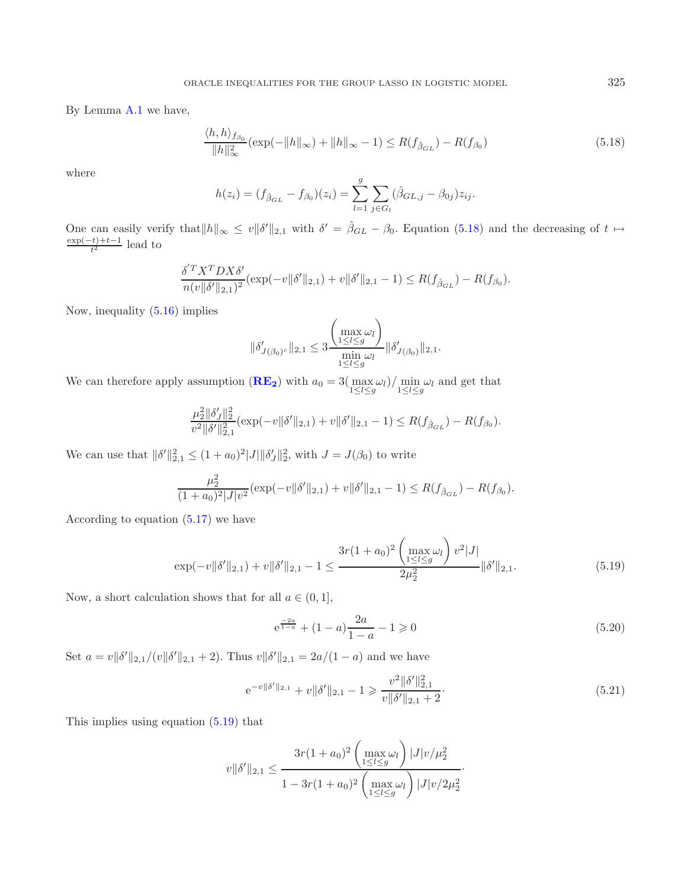<span id="page-16-0"></span>By Lemma [A.1](#page-19-0) we have,

$$
\frac{\langle h, h \rangle_{f_{\beta_0}}}{\|h\|_{\infty}^2} (\exp(-\|h\|_{\infty}) + \|h\|_{\infty} - 1) \le R(f_{\hat{\beta}_{GL}}) - R(f_{\beta_0})
$$
\n(5.18)

where

$$
h(z_i) = (f_{\hat{\beta}_{GL}} - f_{\beta_0})(z_i) = \sum_{l=1}^{g} \sum_{j \in G_l} (\hat{\beta}_{GL,j} - \beta_{0j}) z_{ij}.
$$

One can easily verify that  $||h||_{\infty} \le v ||\delta'||_{2,1}$  with  $\delta' = \hat{\beta}_{GL} - \beta_0$ . Equation [\(5.18\)](#page-16-0) and the decreasing of  $t \mapsto \frac{\exp(-t)+t-1}{t^2}$  lead to

$$
\frac{\delta^{'T}X^{T}DX\delta'}{n(v||\delta'||_{2,1})^{2}}(\exp(-v||\delta'||_{2,1})+v||\delta'||_{2,1}-1) \leq R(f_{\hat{\beta}_{GL}})-R(f_{\beta_{0}}).
$$

Now, inequality [\(5.16\)](#page-15-2) implies

$$
\|\delta'_{J(\beta_0)^c}\|_{2,1} \le 3 \frac{\left(\max\limits_{1 \le l \le g} \omega_l\right)}{\min\limits_{1 \le l \le g} \omega_l} \|\delta'_{J(\beta_0)}\|_{2,1}.
$$

We can therefore apply assumption  $(\mathbf{RE_2})$  $(\mathbf{RE_2})$  $(\mathbf{RE_2})$  with  $a_0 = 3(\max_{1 \leq l \leq g} \omega_l)/\min_{1 \leq l \leq g} \omega_l$  and get that

<span id="page-16-1"></span>
$$
\frac{\mu_2^2 \|\delta'_J\|_2^2}{v^2 \|\delta'\|_{2,1}^2} (\exp(-v \|\delta'\|_{2,1}) + v \|\delta'\|_{2,1} - 1) \le R(f_{\hat{\beta}_{GL}}) - R(f_{\beta_0}).
$$

We can use that  $\|\delta'\|_{2,1}^2 \le (1 + a_0)^2 |J| \|\delta'_{J}\|_{2}^2$ , with  $J = J(\beta_0)$  to write

$$
\frac{\mu_2^2}{(1+a_0)^2|J|v^2}(\exp(-v\|\delta'\|_{2,1})+v\|\delta'\|_{2,1}-1)\leq R(f_{\hat{\beta}_{GL}})-R(f_{\beta_0}).
$$

According to equation [\(5.17\)](#page-15-3) we have

$$
\exp(-v||\delta'||_{2,1}) + v||\delta'||_{2,1} - 1 \le \frac{3r(1+a_0)^2 \left(\max_{1 \le l \le g} \omega_l\right) v^2|J|}{2\mu_2^2} ||\delta'||_{2,1}.
$$
\n(5.19)

Now, a short calculation shows that for all  $a \in (0, 1]$ ,

$$
e^{\frac{-2a}{1-a}} + (1-a)\frac{2a}{1-a} - 1 \ge 0
$$
 (5.20)

Set  $a = v \|\delta'\|_{2,1}/(v \|\delta'\|_{2,1} + 2)$ . Thus  $v \|\delta'\|_{2,1} = 2a/(1-a)$  and we have

$$
e^{-v\|\delta'\|_{2,1}} + v\|\delta'\|_{2,1} - 1 \geqslant \frac{v^2\|\delta'\|_{2,1}^2}{v\|\delta'\|_{2,1} + 2}.\tag{5.21}
$$

This implies using equation [\(5.19\)](#page-16-1) that

$$
v||\delta'||_{2,1} \le \frac{3r(1+a_0)^2 \left(\max_{1 \le l \le g} \omega_l\right) |J| v/\mu_2^2}{1 - 3r(1+a_0)^2 \left(\max_{1 \le l \le g} \omega_l\right) |J| v/2\mu_2^2}.
$$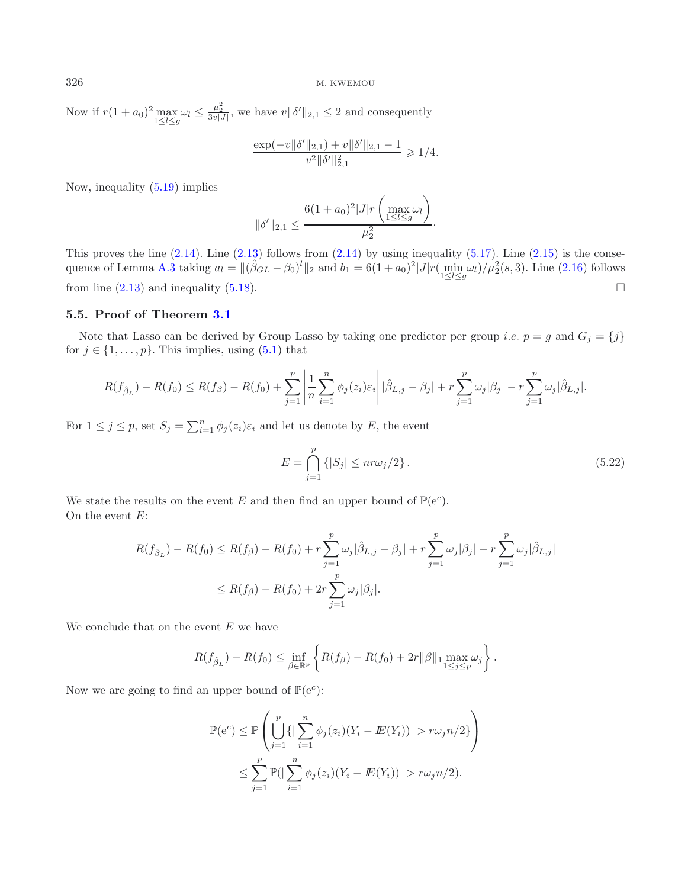Now if  $r(1 + a_0)^2 \max_{1 \leq l \leq g} \omega_l \leq \frac{\mu_2^2}{3v|J|}$ , we have  $v ||\delta' ||_{2,1} \leq 2$  and consequently

$$
\frac{\exp(-v||\delta'||_{2,1}) + v||\delta'||_{2,1} - 1}{v^2||\delta'||_{2,1}^2} \geq 1/4.
$$

Now, inequality [\(5.19\)](#page-16-1) implies

<span id="page-17-0"></span>
$$
\|\delta'\|_{2,1} \le \frac{6(1+a_0)^2|J|r\left(\max_{1\le l\le g}\omega_l\right)}{\mu_2^2}.
$$

This proves the line  $(2.14)$ . Line  $(2.13)$  follows from  $(2.14)$  by using inequality  $(5.17)$ . Line  $(2.15)$  is the conse-quence of Lemma [A.3](#page-20-0) taking  $a_l = ||(\hat{\beta}_{GL} - \beta_0)^l||_2$  and  $b_1 = 6(1 + a_0)^2 |J|r(\min_{1 \leq l \leq g} \omega_l)/\mu_2^2(s, 3)$ . Line [\(2.16\)](#page-7-5) follows from line  $(2.13)$  and inequality  $(5.18)$ .

### **5.5. Proof of Theorem [3.1](#page-8-0)**

Note that Lasso can be derived by Group Lasso by taking one predictor per group *i.e.*  $p = g$  and  $G_j = \{j\}$ for  $j \in \{1, \ldots, p\}$ . This implies, using [\(5.1\)](#page-11-2) that

$$
R(f_{\hat{\beta}_L}) - R(f_0) \le R(f_{\beta}) - R(f_0) + \sum_{j=1}^p \left| \frac{1}{n} \sum_{i=1}^n \phi_j(z_i) \varepsilon_i \right| |\hat{\beta}_{L,j} - \beta_j| + r \sum_{j=1}^p \omega_j |\beta_j| - r \sum_{j=1}^p \omega_j |\hat{\beta}_{L,j}|.
$$

For  $1 \leq j \leq p$ , set  $S_j = \sum_{i=1}^n \phi_j(z_i) \varepsilon_i$  and let us denote by  $E$ , the event

$$
E = \bigcap_{j=1}^{p} \{|S_j| \leq n r \omega_j / 2\}.
$$
\n(5.22)

We state the results on the event E and then find an upper bound of  $\mathbb{P}(\mathrm{e}^c)$ . On the event E:

$$
R(f_{\hat{\beta}_L}) - R(f_0) \le R(f_{\beta}) - R(f_0) + r \sum_{j=1}^p \omega_j |\hat{\beta}_{L,j} - \beta_j| + r \sum_{j=1}^p \omega_j |\beta_j| - r \sum_{j=1}^p \omega_j |\hat{\beta}_{L,j}|
$$
  

$$
\le R(f_{\beta}) - R(f_0) + 2r \sum_{j=1}^p \omega_j |\beta_j|.
$$

We conclude that on the event  $E$  we have

$$
R(f_{\hat{\beta}_L}) - R(f_0) \le \inf_{\beta \in \mathbb{R}^p} \left\{ R(f_{\beta}) - R(f_0) + 2r||\beta||_1 \max_{1 \le j \le p} \omega_j \right\}
$$

Now we are going to find an upper bound of  $\mathbb{P}(e^c)$ :

$$
\mathbb{P}(e^c) \leq \mathbb{P}\left(\bigcup_{j=1}^p \left\{|\sum_{i=1}^n \phi_j(z_i)(Y_i - \mathbb{E}(Y_i))| > r\omega_j n/2\right\}\right)
$$
  

$$
\leq \sum_{j=1}^p \mathbb{P}(|\sum_{i=1}^n \phi_j(z_i)(Y_i - \mathbb{E}(Y_i))| > r\omega_j n/2).
$$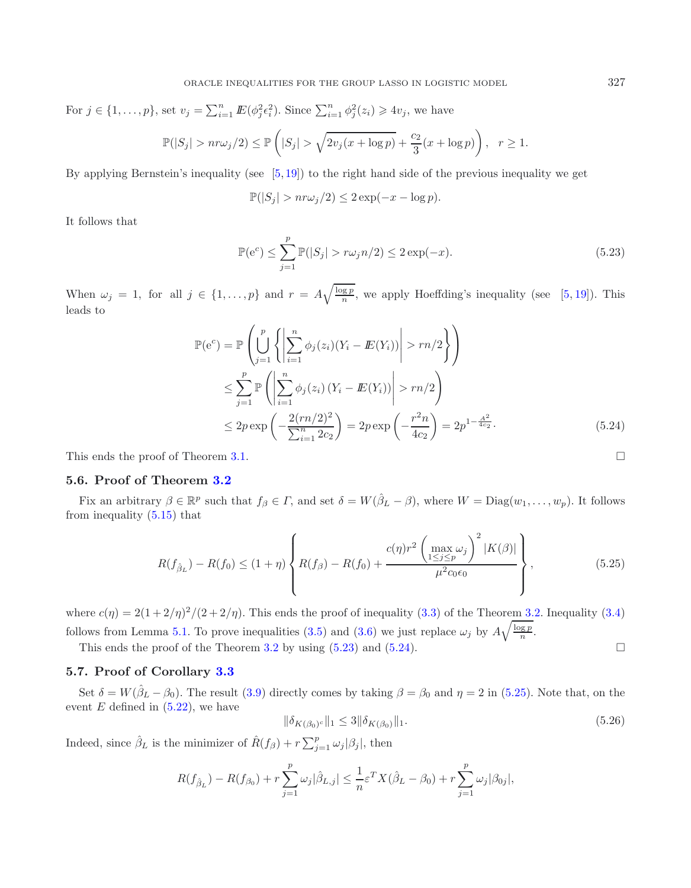For 
$$
j \in \{1, ..., p\}
$$
, set  $v_j = \sum_{i=1}^n E(\phi_j^2 \epsilon_i^2)$ . Since  $\sum_{i=1}^n \phi_j^2(z_i) \ge 4v_j$ , we have  

$$
\mathbb{P}(|S_j| > n r \omega_j/2) \le \mathbb{P}\left(|S_j| > \sqrt{2v_j(x + \log p)} + \frac{c_2}{3}(x + \log p)\right),
$$

By applying Bernstein's inequality (see [\[5,](#page-21-6) [19\]](#page-22-33)) to the right hand side of the previous inequality we get

$$
\mathbb{P}(|S_j| > nr\omega_j/2) \leq 2\exp(-x - \log p).
$$

It follows that

$$
\mathbb{P}(e^{c}) \le \sum_{j=1}^{p} \mathbb{P}(|S_{j}| > r\omega_{j}n/2) \le 2 \exp(-x).
$$
 (5.23)

<span id="page-18-1"></span><span id="page-18-0"></span> $r > 1$ .

When  $\omega_j = 1$ , for all  $j \in \{1, ..., p\}$  and  $r = A\sqrt{\frac{\log p}{n}}$ , we apply Hoeffding's inequality (see [\[5,](#page-21-6) [19\]](#page-22-33)). This leads to

<span id="page-18-2"></span>
$$
\mathbb{P}(e^c) = \mathbb{P}\left(\bigcup_{j=1}^p \left\{ \left| \sum_{i=1}^n \phi_j(z_i)(Y_i - E(Y_i)) \right| > rn/2 \right\} \right)
$$
  
\n
$$
\leq \sum_{j=1}^p \mathbb{P}\left(\left| \sum_{i=1}^n \phi_j(z_i)(Y_i - E(Y_i)) \right| > rn/2 \right)
$$
  
\n
$$
\leq 2p \exp\left(-\frac{2(rn/2)^2}{\sum_{i=1}^n 2c_2}\right) = 2p \exp\left(-\frac{r^2n}{4c_2}\right) = 2p^{1-\frac{A^2}{4c_2}}.
$$
\n(5.24)

This ends the proof of Theorem [3.1.](#page-8-0)

### **5.6. Proof of Theorem [3.2](#page-9-0)**

Fix an arbitrary  $\beta \in \mathbb{R}^p$  such that  $f_{\beta} \in \Gamma$ , and set  $\delta = W(\hat{\beta}_L - \beta)$ , where  $W = \text{Diag}(w_1, \dots, w_p)$ . It follows from inequality [\(5.15\)](#page-15-1) that

<span id="page-18-3"></span>
$$
R(f_{\hat{\beta}_L}) - R(f_0) \le (1 + \eta) \left\{ R(f_{\beta}) - R(f_0) + \frac{c(\eta) r^2 \left( \max_{1 \le j \le p} \omega_j \right)^2 |K(\beta)|}{\mu^2 c_0 \epsilon_0} \right\},
$$
\n(5.25)

where  $c(\eta) = 2(1+2/\eta)^2/(2+2/\eta)$ . This ends the proof of inequality [\(3.3\)](#page-9-3) of the Theorem [3.2.](#page-9-0) Inequality [\(3.4\)](#page-9-1) follows from Lemma [5.1.](#page-14-0) To prove inequalities [\(3.5\)](#page-9-4) and [\(3.6\)](#page-9-2) we just replace  $\omega_j$  by  $A\sqrt{\frac{\log p}{n}}$ .<br>This ends the proof of the Theorem 2.2.3 by wing (5.22) and (5.24).

This ends the proof of the Theorem [3.2](#page-9-0) by using  $(5.23)$  and  $(5.24)$ .

## **5.7. Proof of Corollary [3.3](#page-10-5)**

Set  $\delta = W(\hat{\beta}_L - \beta_0)$ . The result [\(3.9\)](#page-10-3) directly comes by taking  $\beta = \beta_0$  and  $\eta = 2$  in [\(5.25\)](#page-18-2). Note that, on the event  $E$  defined in  $(5.22)$ , we have

$$
\|\delta_{K(\beta_0)^c}\|_1 \le 3 \|\delta_{K(\beta_0)}\|_1. \tag{5.26}
$$

Indeed, since  $\hat{\beta}_L$  is the minimizer of  $\hat{R}(f_\beta) + r \sum_{j=1}^p \omega_j |\beta_j|$ , then

$$
R(f_{\hat{\beta}_L}) - R(f_{\beta_0}) + r \sum_{j=1}^p \omega_j |\hat{\beta}_{L,j}| \leq \frac{1}{n} \varepsilon^T X(\hat{\beta}_L - \beta_0) + r \sum_{j=1}^p \omega_j |\beta_{0j}|,
$$

$$
\Box
$$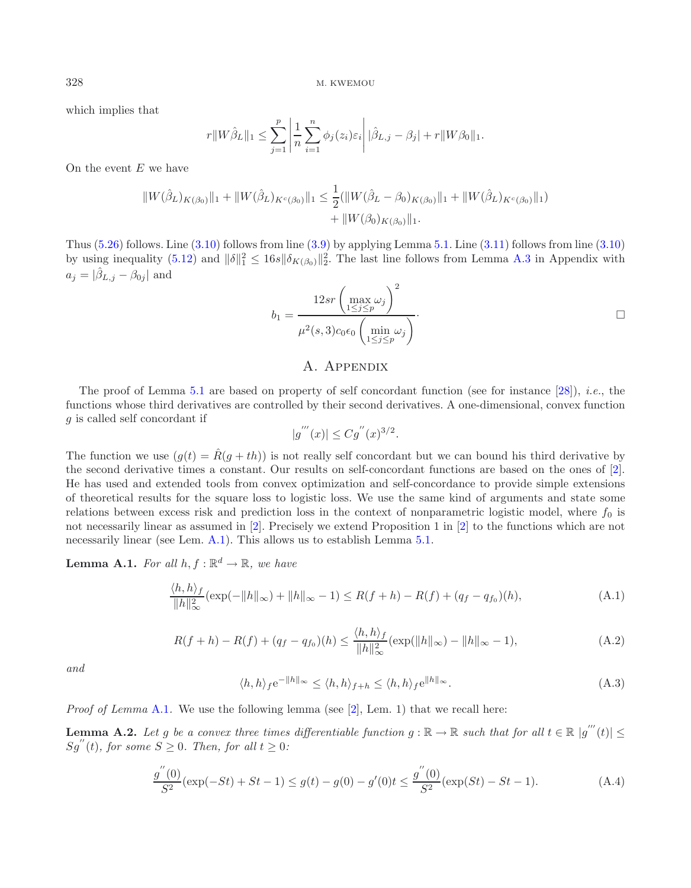which implies that

$$
r||W\hat{\beta}_L||_1 \leq \sum_{j=1}^p \left|\frac{1}{n}\sum_{i=1}^n \phi_j(z_i)\varepsilon_i\right| |\hat{\beta}_{L,j} - \beta_j| + r||W\beta_0||_1.
$$

On the event  $E$  we have

$$
||W(\hat{\beta}_L)_{K(\beta_0)}||_1 + ||W(\hat{\beta}_L)_{K^c(\beta_0)}||_1 \le \frac{1}{2} (||W(\hat{\beta}_L - \beta_0)_{K(\beta_0)}||_1 + ||W(\hat{\beta}_L)_{K^c(\beta_0)}||_1) + ||W(\beta_0)_{K(\beta_0)}||_1.
$$

Thus  $(5.26)$  follows. Line  $(3.10)$  follows from line  $(3.9)$  by applying Lemma [5.1.](#page-14-0) Line  $(3.11)$  follows from line  $(3.10)$ by using inequality  $(5.12)$  and  $\|\delta\|_1^2 \le 16s \|\delta_{K(\beta_0)}\|_2^2$ . The last line follows from Lemma [A.3](#page-20-0) in Appendix with  $a_j = |\hat{\beta}_{L,j} - \beta_{0j}|$  and  $\sqrt{2}$ 

$$
b_1 = \frac{12sr \left(\max\limits_{1 \leq j \leq p} \omega_j\right)^2}{\mu^2(s, 3)c_0\epsilon_0 \left(\min\limits_{1 \leq j \leq p} \omega_j\right)}.
$$

# <span id="page-19-0"></span>A. Appendix

The proof of Lemma [5.1](#page-14-0) are based on property of self concordant function (see for instance [\[28](#page-22-34)]), *i.e.*, the functions whose third derivatives are controlled by their second derivatives. A one-dimensional, convex function g is called self concordant if

<span id="page-19-1"></span>
$$
|g'''(x)| \leq Cg''(x)^{3/2}.
$$

The function we use  $(g(t) = \hat{R}(g + th))$  is not really self concordant but we can bound his third derivative by the second derivative times a constant. Our results on self-concordant functions are based on the ones of [\[2](#page-21-4)]. He has used and extended tools from convex optimization and self-concordance to provide simple extensions of theoretical results for the square loss to logistic loss. We use the same kind of arguments and state some relations between excess risk and prediction loss in the context of nonparametric logistic model, where  $f_0$  is not necessarily linear as assumed in [\[2\]](#page-21-4). Precisely we extend Proposition 1 in [\[2](#page-21-4)] to the functions which are not necessarily linear (see Lem. [A.1\)](#page-19-0). This allows us to establish Lemma [5.1.](#page-14-0)

**Lemma A.1.** *For all*  $h, f : \mathbb{R}^d \to \mathbb{R}$ *, we have* 

$$
\frac{\langle h, h \rangle_f}{\|h\|_{\infty}^2} (\exp(-\|h\|_{\infty}) + \|h\|_{\infty} - 1) \le R(f + h) - R(f) + (q_f - q_{f_0})(h),
$$
\n(A.1)

$$
R(f+h) - R(f) + (q_f - q_{f_0})(h) \le \frac{\langle h, h \rangle_f}{\|h\|_{\infty}^2} (\exp(\|h\|_{\infty}) - \|h\|_{\infty} - 1),
$$
\n(A.2)

*and*

$$
\langle h, h \rangle_f e^{-\|h\|_{\infty}} \le \langle h, h \rangle_{f+h} \le \langle h, h \rangle_f e^{\|h\|_{\infty}}.
$$
\n(A.3)

*Proof of Lemma* [A.1](#page-19-0). We use the following lemma (see [\[2](#page-21-4)], Lem. 1) that we recall here:

**Lemma A.2.** Let g be a convex three times differentiable function  $g : \mathbb{R} \to \mathbb{R}$  such that for all  $t \in \mathbb{R}$   $|g'''(t)| \leq S_{\alpha}''(t)$  for some  $S > 0$ . Then, for all  $t > 0$ .  $Sg''(t)$ *, for some*  $S \geq 0$ *. Then, for all*  $t \geq 0$ *:* 

$$
\frac{g''(0)}{S^2}(\exp(-St) + St - 1) \le g(t) - g(0) - g'(0)t \le \frac{g''(0)}{S^2}(\exp(St) - St - 1). \tag{A.4}
$$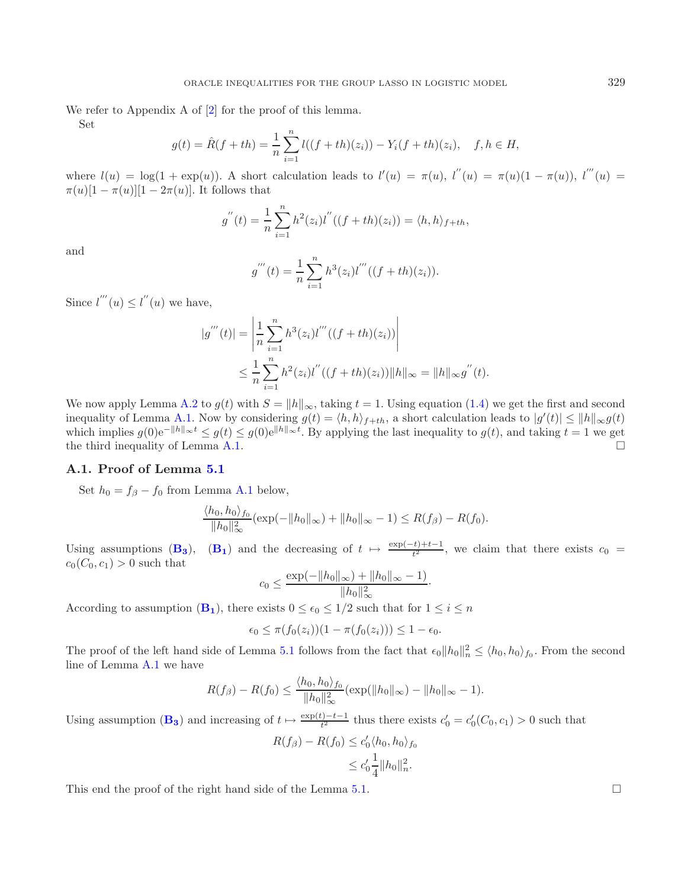We refer to Appendix A of  $[2]$  for the proof of this lemma.

Set

$$
g(t) = \hat{R}(f + th) = \frac{1}{n} \sum_{i=1}^{n} l((f + th)(z_i)) - Y_i(f + th)(z_i), \quad f, h \in H,
$$

where  $l(u) = \log(1 + \exp(u))$ . A short calculation leads to  $l'(u) = \pi(u)$ ,  $l''(u) = \pi(u)(1 - \pi(u))$ ,  $l'''(u) = \pi(u)[1 - \pi(u)][1 - 2\pi(u)]$ . It follows that  $\pi(u)[1-\pi(u)][1-2\pi(u)]$ . It follows that

$$
g''(t) = \frac{1}{n} \sum_{i=1}^{n} h^{2}(z_{i}) l''((f+th)(z_{i})) = \langle h, h \rangle_{f+th},
$$

and

$$
g'''(t) = \frac{1}{n} \sum_{i=1}^{n} h^{3}(z_{i}) l'''((f+th)(z_{i})).
$$

Since  $l'''(u) \le l''(u)$  we have,

$$
|g'''(t)| = \left| \frac{1}{n} \sum_{i=1}^{n} h^3(z_i) l'''((f+th)(z_i)) \right|
$$
  

$$
\leq \frac{1}{n} \sum_{i=1}^{n} h^2(z_i) l''((f+th)(z_i)) ||h||_{\infty} = ||h||_{\infty} g''(t).
$$

We now apply Lemma [A.2](#page-19-1) to  $g(t)$  with  $S = ||h||_{\infty}$ , taking  $t = 1$ . Using equation [\(1.4\)](#page-3-2) we get the first and second inequality of Lemma A.1. Now by considering  $g(t) = \langle h, h \rangle_{f+th}$ , a short calculation leads to  $|g'(t)| \le ||h||_{\$ inequality of Lemma [A.1.](#page-19-0) Now by considering  $g(t) = \langle h, h \rangle_{f+th}$ , a short calculation leads to  $|g'(t)| \le ||h||_{\infty} g(t)$ <br>which implies  $g(0) = ||h||_{\infty} t < g(t) < g(0)$ which implies  $g(0)e^{-\|h\|_{\infty}t} \leq g(t) \leq g(0)e^{\|h\|_{\infty}t}$ . By applying the last inequality to  $g(t)$ , and taking  $t = 1$  we get the third inequality of Lemma A 1 the third inequality of Lemma [A.1.](#page-19-0)  $\Box$ 

## **A.1. Proof of Lemma [5.1](#page-14-0)**

Set  $h_0 = f_\beta - f_0$  from Lemma [A.1](#page-19-0) below,

$$
\frac{\langle h_0, h_0 \rangle_{f_0}}{\|h_0\|_{\infty}^2} (\exp(-\|h_0\|_{\infty}) + \|h_0\|_{\infty} - 1) \leq R(f_{\beta}) - R(f_0).
$$

Using assumptions  $(\mathbf{B_3})$  $(\mathbf{B_3})$  $(\mathbf{B_3})$ ,  $(\mathbf{B_1})$  and the decreasing of  $t \mapsto \frac{\exp(-t)+t-1}{t^2}$ , we claim that there exists  $c_0 = c_2(C_2, c_1) > 0$  such that  $c_0(C_0, c_1) > 0$  such that

$$
c_0 \le \frac{\exp(-\|h_0\|_{\infty}) + \|h_0\|_{\infty} - 1)}{\|h_0\|_{\infty}^2}.
$$

According to assumption  $(\mathbf{B}_1)$  $(\mathbf{B}_1)$  $(\mathbf{B}_1)$ , there exists  $0 \le \epsilon_0 \le 1/2$  such that for  $1 \le i \le n$ 

$$
\epsilon_0 \leq \pi(f_0(z_i))(1-\pi(f_0(z_i))) \leq 1-\epsilon_0.
$$

The proof of the left hand side of Lemma [5.1](#page-14-0) follows from the fact that  $\epsilon_0 \|h_0\|_n^2 \le \langle h_0, h_0 \rangle_{f_0}$ . From the second<br>line of Lemma A 1 we have line of Lemma [A.1](#page-19-0) we have

$$
R(f_{\beta}) - R(f_0) \leq \frac{\langle h_0, h_0 \rangle_{f_0}}{\|h_0\|_{\infty}^2} (\exp(||h_0||_{\infty}) - ||h_0||_{\infty} - 1).
$$

Using assumption  $(\mathbf{B_3})$  $(\mathbf{B_3})$  $(\mathbf{B_3})$  and increasing of  $t \mapsto \frac{\exp(t)-t-1}{t^2}$  thus there exists  $c'_0 = c'_0(C_0, c_1) > 0$  such that

$$
R(f_{\beta}) - R(f_0) \le c'_0 \langle h_0, h_0 \rangle_{f_0}
$$
  

$$
\le c'_0 \frac{1}{4} ||h_0||_n^2.
$$

This end the proof of the right hand side of the Lemma [5.1.](#page-14-0)

<span id="page-20-0"></span>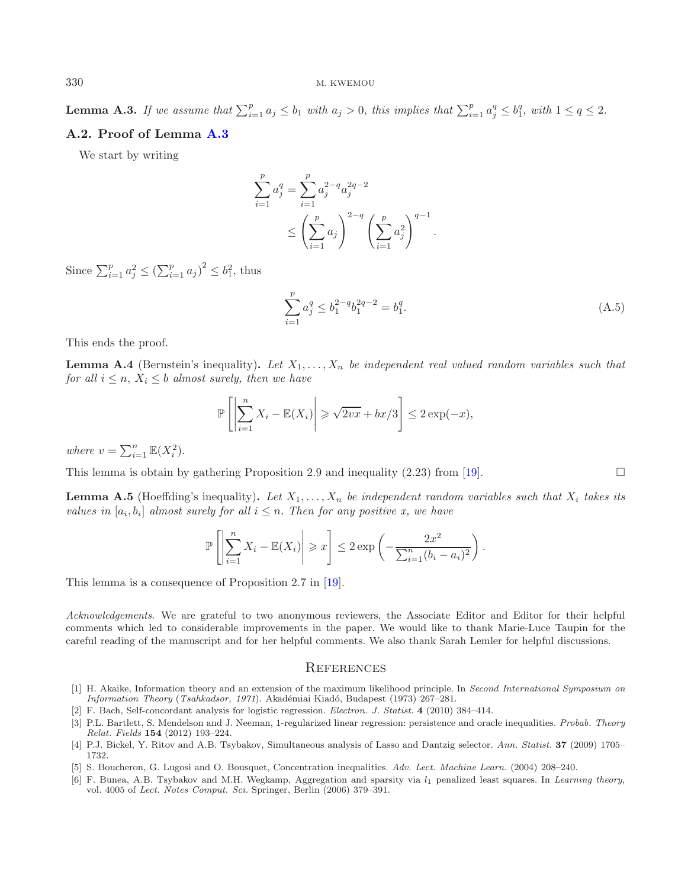**Lemma A.3.** If we assume that  $\sum_{i=1}^{p} a_j \leq b_1$  with  $a_j > 0$ , this implies that  $\sum_{i=1}^{p} a_j^q \leq b_1^q$ , with  $1 \leq q \leq 2$ .

# **A.2. Proof of Lemma [A.3](#page-20-0)**

<span id="page-21-5"></span>We start by writing

$$
\sum_{i=1}^{p} a_j^q = \sum_{i=1}^{p} a_j^{2-q} a_j^{2q-2}
$$
  
 
$$
\leq \left(\sum_{i=1}^{p} a_j\right)^{2-q} \left(\sum_{i=1}^{p} a_j^2\right)^{q-1}.
$$

Since  $\sum_{i=1}^{p} a_j^2 \leq (\sum_{i=1}^{p} a_j)^2 \leq b_1^2$ , thus

$$
\sum_{i=1}^{p} a_j^q \le b_1^{2-q} b_1^{2q-2} = b_1^q. \tag{A.5}
$$

This ends the proof.

**Lemma A.4** (Bernstein's inequality). Let  $X_1, \ldots, X_n$  be independent real valued random variables such that *for all*  $i \leq n$ ,  $X_i \leq b$  *almost surely, then we have* 

$$
\mathbb{P}\left[\left|\sum_{i=1}^n X_i - \mathbb{E}(X_i)\right| \geqslant \sqrt{2vx} + bx/3\right] \leq 2\exp(-x),
$$

where  $v = \sum_{i=1}^{n} \mathbb{E}(X_i^2)$ .

This lemma is obtain by gathering Proposition 2.9 and inequality  $(2.23)$  from [\[19](#page-22-33)].

**Lemma A.5** (Hoeffding's inequality). Let  $X_1, \ldots, X_n$  be independent random variables such that  $X_i$  takes its *values in*  $[a_i, b_i]$  *almost surely for all*  $i \leq n$ . Then for any positive x, we have

$$
\mathbb{P}\left[\left|\sum_{i=1}^n X_i - \mathbb{E}(X_i)\right| \geqslant x\right] \leq 2 \exp\left(-\frac{2x^2}{\sum_{i=1}^n (b_i - a_i)^2}\right).
$$

This lemma is a consequence of Proposition 2.7 in [\[19\]](#page-22-33).

*Acknowledgements.* We are grateful to two anonymous reviewers, the Associate Editor and Editor for their helpful comments which led to considerable improvements in the paper. We would like to thank Marie-Luce Taupin for the careful reading of the manuscript and for her helpful comments. We also thank Sarah Lemler for helpful discussions.

### **REFERENCES**

- <span id="page-21-0"></span>[1] H. Akaike, Information theory and an extension of the maximum likelihood principle. In *Second International Symposium on Information Theory* (*Tsahkadsor, 1971*). Akadémiai Kiadó, Budapest (1973) 267-281.
- <span id="page-21-4"></span>[2] F. Bach, Self-concordant analysis for logistic regression. *Electron. J. Statist.* **4** (2010) 384–414.
- <span id="page-21-1"></span>[3] P.L. Bartlett, S. Mendelson and J. Neeman, 1-regularized linear regression: persistence and oracle inequalities. *Probab. Theory Relat. Fields* **154** (2012) 193–224.
- <span id="page-21-3"></span>[4] P.J. Bickel, Y. Ritov and A.B. Tsybakov, Simultaneous analysis of Lasso and Dantzig selector. *Ann. Statist.* **37** (2009) 1705– 1732.
- <span id="page-21-6"></span>[5] S. Boucheron, G. Lugosi and O. Bousquet, Concentration inequalities. *Adv. Lect. Machine Learn.* (2004) 208–240.
- <span id="page-21-2"></span>[6] F. Bunea, A.B. Tsybakov and M.H. Wegkamp, Aggregation and sparsity via l<sup>1</sup> penalized least squares. In *Learning theory*, vol. 4005 of *Lect. Notes Comput. Sci.* Springer, Berlin (2006) 379–391.